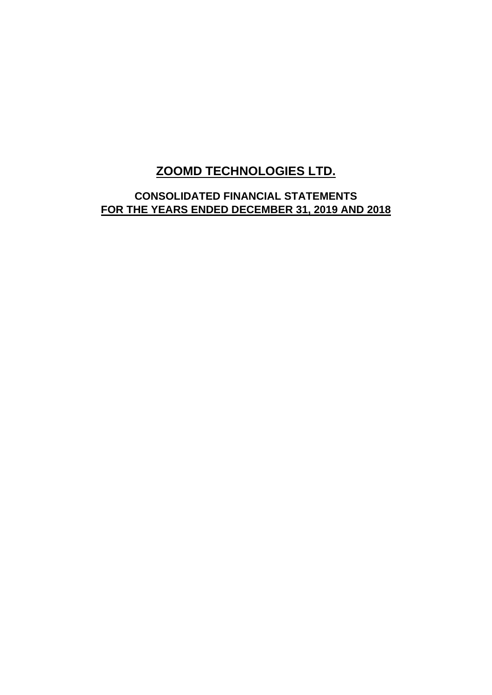## **ZOOMD TECHNOLOGIES LTD.**

**CONSOLIDATED FINANCIAL STATEMENTS FOR THE YEARS ENDED DECEMBER 31, 2019 AND 2018**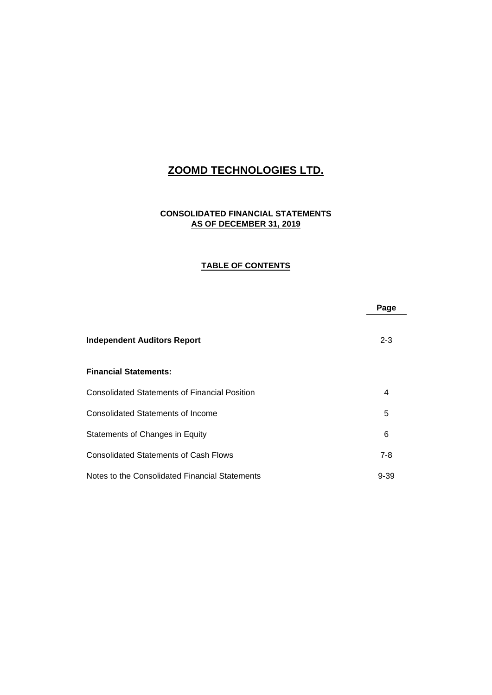## **ZOOMD TECHNOLOGIES LTD.**

## **CONSOLIDATED FINANCIAL STATEMENTS AS OF DECEMBER 31, 2019**

#### **TABLE OF CONTENTS**

|                                                      | Page     |
|------------------------------------------------------|----------|
| <b>Independent Auditors Report</b>                   | $2 - 3$  |
| <b>Financial Statements:</b>                         |          |
| <b>Consolidated Statements of Financial Position</b> | 4        |
| Consolidated Statements of Income                    | 5        |
| Statements of Changes in Equity                      | 6        |
| <b>Consolidated Statements of Cash Flows</b>         | $7-8$    |
| Notes to the Consolidated Financial Statements       | $9 - 39$ |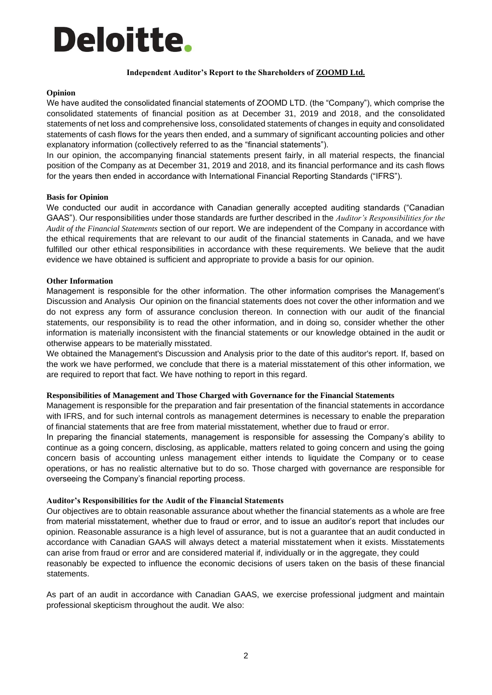# Deloitte.

#### **Independent Auditor's Report to the Shareholders of ZOOMD Ltd.**

#### **Opinion**

We have audited the consolidated financial statements of ZOOMD LTD. (the "Company"), which comprise the consolidated statements of financial position as at December 31, 2019 and 2018, and the consolidated statements of net loss and comprehensive loss, consolidated statements of changes in equity and consolidated statements of cash flows for the years then ended, and a summary of significant accounting policies and other explanatory information (collectively referred to as the "financial statements").

In our opinion, the accompanying financial statements present fairly, in all material respects, the financial position of the Company as at December 31, 2019 and 2018, and its financial performance and its cash flows for the years then ended in accordance with International Financial Reporting Standards ("IFRS").

#### **Basis for Opinion**

We conducted our audit in accordance with Canadian generally accepted auditing standards ("Canadian GAAS"). Our responsibilities under those standards are further described in the *Auditor's Responsibilities for the Audit of the Financial Statements* section of our report. We are independent of the Company in accordance with the ethical requirements that are relevant to our audit of the financial statements in Canada, and we have fulfilled our other ethical responsibilities in accordance with these requirements. We believe that the audit evidence we have obtained is sufficient and appropriate to provide a basis for our opinion.

#### **Other Information**

Management is responsible for the other information. The other information comprises the Management's Discussion and Analysis Our opinion on the financial statements does not cover the other information and we do not express any form of assurance conclusion thereon. In connection with our audit of the financial statements, our responsibility is to read the other information, and in doing so, consider whether the other information is materially inconsistent with the financial statements or our knowledge obtained in the audit or otherwise appears to be materially misstated.

We obtained the Management's Discussion and Analysis prior to the date of this auditor's report. If, based on the work we have performed, we conclude that there is a material misstatement of this other information, we are required to report that fact. We have nothing to report in this regard.

#### **Responsibilities of Management and Those Charged with Governance for the Financial Statements**

Management is responsible for the preparation and fair presentation of the financial statements in accordance with IFRS, and for such internal controls as management determines is necessary to enable the preparation of financial statements that are free from material misstatement, whether due to fraud or error.

In preparing the financial statements, management is responsible for assessing the Company's ability to continue as a going concern, disclosing, as applicable, matters related to going concern and using the going concern basis of accounting unless management either intends to liquidate the Company or to cease operations, or has no realistic alternative but to do so. Those charged with governance are responsible for overseeing the Company's financial reporting process.

#### **Auditor's Responsibilities for the Audit of the Financial Statements**

Our objectives are to obtain reasonable assurance about whether the financial statements as a whole are free from material misstatement, whether due to fraud or error, and to issue an auditor's report that includes our opinion. Reasonable assurance is a high level of assurance, but is not a guarantee that an audit conducted in accordance with Canadian GAAS will always detect a material misstatement when it exists. Misstatements can arise from fraud or error and are considered material if, individually or in the aggregate, they could reasonably be expected to influence the economic decisions of users taken on the basis of these financial statements.

As part of an audit in accordance with Canadian GAAS, we exercise professional judgment and maintain professional skepticism throughout the audit. We also: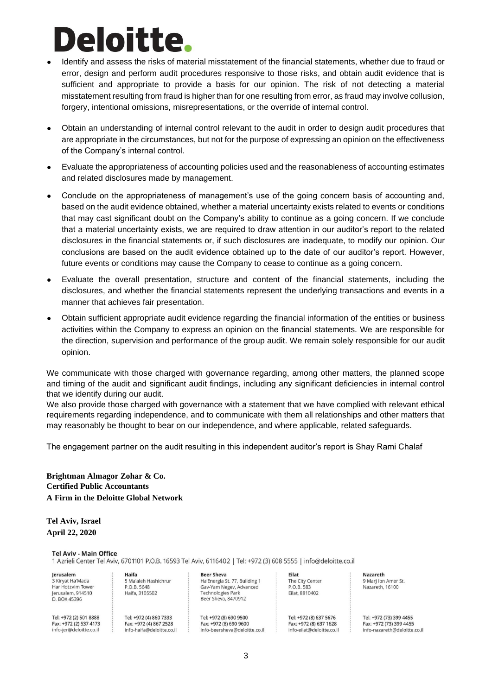# **Deloitte**

- Identify and assess the risks of material misstatement of the financial statements, whether due to fraud or error, design and perform audit procedures responsive to those risks, and obtain audit evidence that is sufficient and appropriate to provide a basis for our opinion. The risk of not detecting a material misstatement resulting from fraud is higher than for one resulting from error, as fraud may involve collusion, forgery, intentional omissions, misrepresentations, or the override of internal control.
- Obtain an understanding of internal control relevant to the audit in order to design audit procedures that are appropriate in the circumstances, but not for the purpose of expressing an opinion on the effectiveness of the Company's internal control.
- Evaluate the appropriateness of accounting policies used and the reasonableness of accounting estimates and related disclosures made by management.
- Conclude on the appropriateness of management's use of the going concern basis of accounting and, based on the audit evidence obtained, whether a material uncertainty exists related to events or conditions that may cast significant doubt on the Company's ability to continue as a going concern. If we conclude that a material uncertainty exists, we are required to draw attention in our auditor's report to the related disclosures in the financial statements or, if such disclosures are inadequate, to modify our opinion. Our conclusions are based on the audit evidence obtained up to the date of our auditor's report. However, future events or conditions may cause the Company to cease to continue as a going concern.
- Evaluate the overall presentation, structure and content of the financial statements, including the disclosures, and whether the financial statements represent the underlying transactions and events in a manner that achieves fair presentation.
- Obtain sufficient appropriate audit evidence regarding the financial information of the entities or business activities within the Company to express an opinion on the financial statements. We are responsible for the direction, supervision and performance of the group audit. We remain solely responsible for our audit opinion.

We communicate with those charged with governance regarding, among other matters, the planned scope and timing of the audit and significant audit findings, including any significant deficiencies in internal control that we identify during our audit.

We also provide those charged with governance with a statement that we have complied with relevant ethical requirements regarding independence, and to communicate with them all relationships and other matters that may reasonably be thought to bear on our independence, and where applicable, related safeguards.

The engagement partner on the audit resulting in this independent auditor's report is Shay Rami Chalaf

**Brightman Almagor Zohar & Co. Certified Public Accountants A Firm in the Deloitte Global Network** 

#### **Tel Aviv, Israel April 22, 2020**

#### **Tel Aviv - Main Office**

1 Azrieli Center Tel Aviv, 6701101 P.O.B. 16593 Tel Aviv, 6116402 | Tel: +972 (3) 608 5555 | info@deloitte.co.il

Jerusalem 3 Kiryat Ha'Mada Har Hotzvim Tower Jerusalem, 914510 D. BOX 45396

Tel: +972 (2) 501 8888 Tel: +972 (4) 860 7333 Fax: +972 (2) 537 4173 Fax: +972 (4) 867 2528 info-jer@deloitte.co.il info-haifa@deloitte.co.il

Haifa

P.O.B. 5648

Haifa, 3105502

5 Ma'aleh Hashichrur

**Beer Sheva** Ha'Energia St. 77, Building 1 Gay-Yam Negey, Advanced **Technologies Park** Beer Sheva, 8470912

Tel: +972 (8) 690 9500 Fax: +972 (8) 690 9600 info-beersheva@deloitte.co.il Eilat The City Center P.O.B. 583 Eilat, 8810402

Tel: +972 (8) 637 5676 Fax: +972 (8) 637 1628 info-eilat@deloitte.co.il Nazareth 9 Marj Ibn Amer St. Nazareth, 16100

Tel: +972 (73) 399 4455 Fax: +972 (73) 399 4455 info-nazareth@deloitte.co.il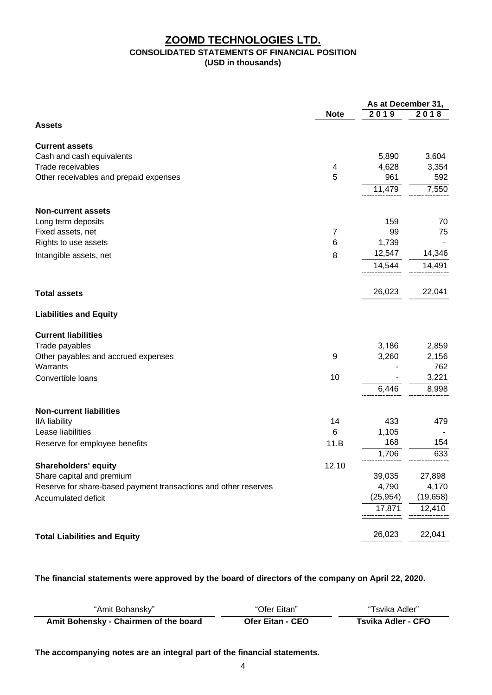## **ZOOMD TECHNOLOGIES LTD. CONSOLIDATED STATEMENTS OF FINANCIAL POSITION (USD in thousands)**

|                                                                 |                | As at December 31, |           |
|-----------------------------------------------------------------|----------------|--------------------|-----------|
|                                                                 | <b>Note</b>    | 2019               | 2018      |
| <b>Assets</b>                                                   |                |                    |           |
| <b>Current assets</b>                                           |                |                    |           |
| Cash and cash equivalents                                       |                | 5,890              | 3,604     |
| Trade receivables                                               | 4              | 4,628              | 3,354     |
| Other receivables and prepaid expenses                          | 5              | 961                | 592       |
|                                                                 |                | 11,479             | 7,550     |
| <b>Non-current assets</b>                                       |                |                    |           |
| Long term deposits                                              |                | 159                | 70        |
| Fixed assets, net                                               | $\overline{7}$ | 99                 | 75        |
| Rights to use assets                                            | 6              | 1,739              |           |
| Intangible assets, net                                          | 8              | 12,547             | 14,346    |
|                                                                 |                | 14,544             | 14,491    |
| <b>Total assets</b>                                             |                | 26,023             | 22,041    |
| <b>Liabilities and Equity</b>                                   |                |                    |           |
| <b>Current liabilities</b>                                      |                |                    |           |
| Trade payables                                                  |                | 3,186              | 2,859     |
| Other payables and accrued expenses                             | 9              | 3,260              | 2,156     |
| Warrants                                                        |                |                    | 762       |
| Convertible loans                                               | 10             |                    | 3,221     |
|                                                                 |                | 6,446              | 8,998     |
| <b>Non-current liabilities</b>                                  |                |                    |           |
| <b>IIA</b> liability                                            | 14             | 433                | 479       |
| Lease liabilities                                               | 6              | 1,105              |           |
| Reserve for employee benefits                                   | 11.B           | 168                | 154       |
|                                                                 |                | 1,706              | 633       |
| <b>Shareholders' equity</b>                                     | 12,10          |                    |           |
| Share capital and premium                                       |                | 39,035             | 27,898    |
| Reserve for share-based payment transactions and other reserves |                | 4,790              | 4,170     |
| Accumulated deficit                                             |                | (25, 954)          | (19, 658) |
|                                                                 |                | 17,871             | 12,410    |
| <b>Total Liabilities and Equity</b>                             |                | 26,023             | 22,041    |
|                                                                 |                |                    |           |

## **The financial statements were approved by the board of directors of the company on April 22, 2020.**

| "Amit Bohansky"                       | "Ofer Eitan"            | "Tsvika Adler"     |
|---------------------------------------|-------------------------|--------------------|
| Amit Bohensky - Chairmen of the board | <b>Ofer Eitan - CEO</b> | Tsvika Adler - CFO |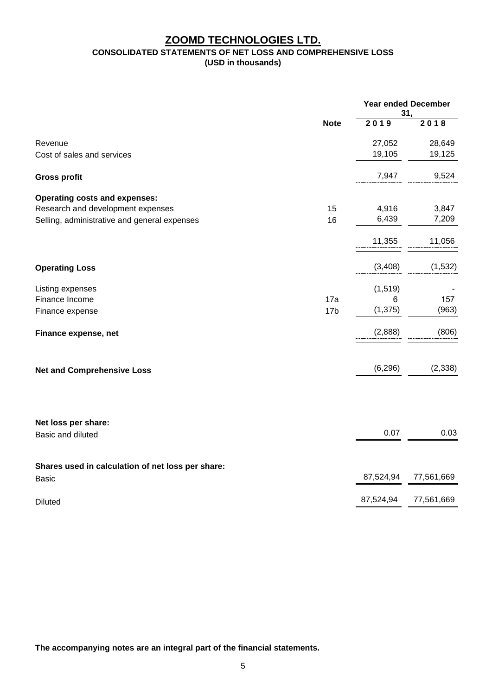## **ZOOMD TECHNOLOGIES LTD. CONSOLIDATED STATEMENTS OF NET LOSS AND COMPREHENSIVE LOSS (USD in thousands)**

|                                                                                               |                  | <b>Year ended December</b><br>31, |  |
|-----------------------------------------------------------------------------------------------|------------------|-----------------------------------|--|
| <b>Note</b>                                                                                   | 2019             | 2018                              |  |
| Revenue<br>Cost of sales and services                                                         | 27,052<br>19,105 | 28,649<br>19,125                  |  |
|                                                                                               |                  |                                   |  |
| <b>Gross profit</b>                                                                           | 7,947            | 9,524                             |  |
| <b>Operating costs and expenses:</b>                                                          |                  |                                   |  |
| Research and development expenses<br>15<br>16<br>Selling, administrative and general expenses | 4,916<br>6,439   | 3,847<br>7,209                    |  |
|                                                                                               | 11,355           | 11,056                            |  |
|                                                                                               |                  |                                   |  |
| <b>Operating Loss</b>                                                                         | (3, 408)         | (1,532)                           |  |
| Listing expenses                                                                              | (1, 519)         |                                   |  |
| Finance Income<br>17a<br>17 <sub>b</sub><br>Finance expense                                   | 6<br>(1, 375)    | 157<br>(963)                      |  |
| Finance expense, net                                                                          | (2,888)          | (806)                             |  |
| <b>Net and Comprehensive Loss</b>                                                             | (6, 296)         | (2, 338)                          |  |
| Net loss per share:                                                                           |                  |                                   |  |
| Basic and diluted                                                                             | 0.07             | 0.03                              |  |
| Shares used in calculation of net loss per share:                                             |                  |                                   |  |
| <b>Basic</b>                                                                                  | 87,524,94        | 77,561,669                        |  |
| <b>Diluted</b>                                                                                | 87,524,94        | 77,561,669                        |  |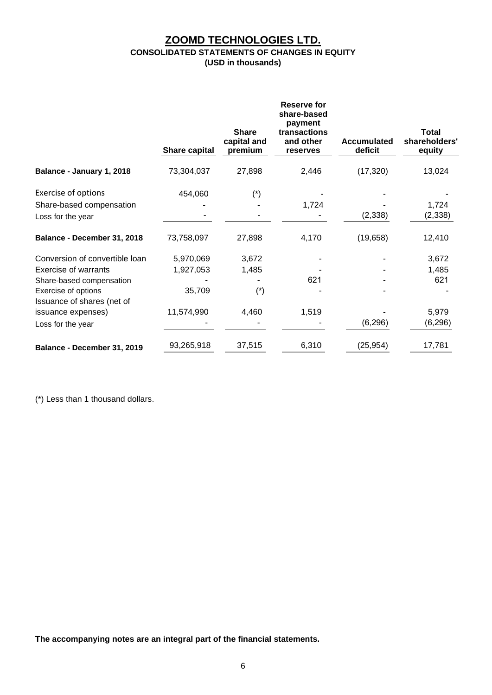## **ZOOMD TECHNOLOGIES LTD. CONSOLIDATED STATEMENTS OF CHANGES IN EQUITY (USD in thousands)**

|                                | <b>Share capital</b> | <b>Share</b><br>capital and<br>premium | <b>Reserve for</b><br>share-based<br>payment<br>transactions<br>and other<br>reserves | Accumulated<br>deficit | <b>Total</b><br>shareholders'<br>equity |
|--------------------------------|----------------------|----------------------------------------|---------------------------------------------------------------------------------------|------------------------|-----------------------------------------|
| Balance - January 1, 2018      | 73,304,037           | 27,898                                 | 2,446                                                                                 | (17, 320)              | 13,024                                  |
| <b>Exercise of options</b>     | 454,060              | $(*)$                                  |                                                                                       |                        |                                         |
| Share-based compensation       |                      |                                        | 1,724                                                                                 |                        | 1,724                                   |
| Loss for the year              |                      |                                        |                                                                                       | (2, 338)               | (2, 338)                                |
| Balance - December 31, 2018    | 73,758,097           | 27,898                                 | 4,170                                                                                 | (19,658)               | 12,410                                  |
| Conversion of convertible loan | 5,970,069            | 3,672                                  |                                                                                       |                        | 3,672                                   |
| <b>Exercise of warrants</b>    | 1,927,053            | 1,485                                  |                                                                                       |                        | 1,485                                   |
| Share-based compensation       |                      |                                        | 621                                                                                   |                        | 621                                     |
| Exercise of options            | 35,709               | $(\dot{a})$                            |                                                                                       |                        |                                         |
| Issuance of shares (net of     |                      |                                        |                                                                                       |                        |                                         |
| issuance expenses)             | 11,574,990           | 4,460                                  | 1,519                                                                                 |                        | 5,979                                   |
| Loss for the year              |                      |                                        |                                                                                       | (6, 296)               | (6,296)                                 |
| Balance - December 31, 2019    | 93,265,918           | 37,515                                 | 6,310                                                                                 | (25, 954)              | 17,781                                  |

(\*) Less than 1 thousand dollars.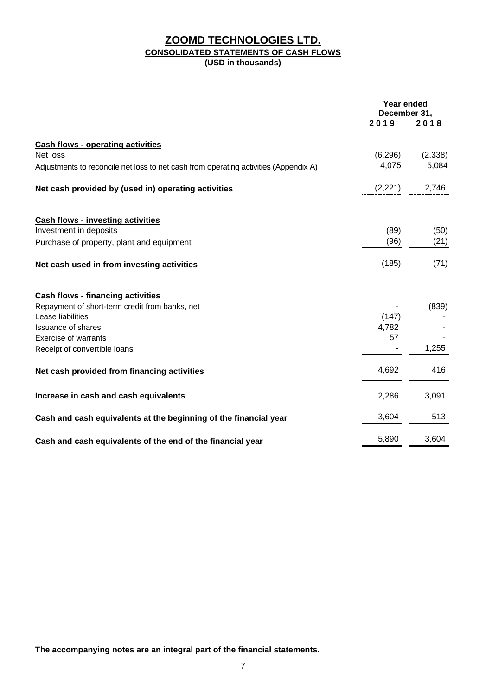## **ZOOMD TECHNOLOGIES LTD. CONSOLIDATED STATEMENTS OF CASH FLOWS (USD in thousands)**

|                                                                                      | Year ended<br>December 31, |          |
|--------------------------------------------------------------------------------------|----------------------------|----------|
|                                                                                      | 2019                       | 2018     |
| <b>Cash flows - operating activities</b>                                             |                            |          |
| Net loss                                                                             | (6, 296)                   | (2, 338) |
| Adjustments to reconcile net loss to net cash from operating activities (Appendix A) | 4,075                      | 5,084    |
| Net cash provided by (used in) operating activities                                  | (2,221)                    | 2,746    |
| <b>Cash flows - investing activities</b>                                             |                            |          |
| Investment in deposits                                                               | (89)                       | (50)     |
| Purchase of property, plant and equipment                                            | (96)                       | (21)     |
| Net cash used in from investing activities                                           | (185)                      | (71)     |
| <b>Cash flows - financing activities</b>                                             |                            |          |
| Repayment of short-term credit from banks, net                                       |                            | (839)    |
| Lease liabilities                                                                    | (147)                      |          |
| <b>Issuance of shares</b>                                                            | 4,782                      |          |
| <b>Exercise of warrants</b>                                                          | 57                         |          |
| Receipt of convertible loans                                                         |                            | 1,255    |
| Net cash provided from financing activities                                          | 4,692                      | 416      |
| Increase in cash and cash equivalents                                                | 2,286                      | 3,091    |
| Cash and cash equivalents at the beginning of the financial year                     | 3,604                      | 513      |
| Cash and cash equivalents of the end of the financial year                           | 5,890                      | 3,604    |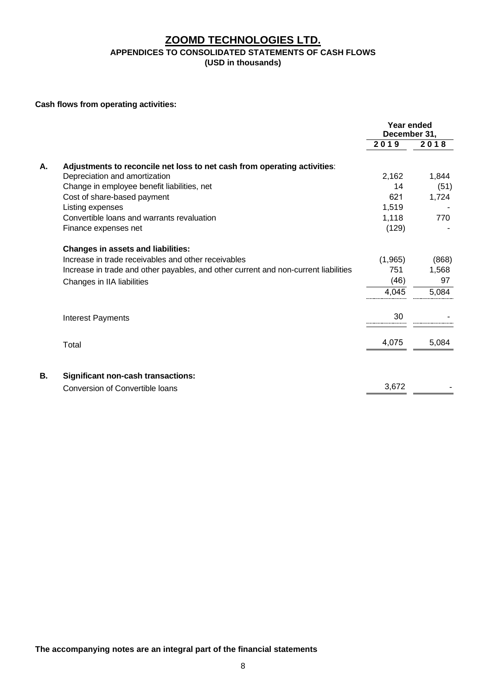## **ZOOMD TECHNOLOGIES LTD. APPENDICES TO CONSOLIDATED STATEMENTS OF CASH FLOWS (USD in thousands)**

**Cash flows from operating activities:**

|    |                                                                                     | Year ended<br>December 31, |       |
|----|-------------------------------------------------------------------------------------|----------------------------|-------|
|    |                                                                                     | 2019                       | 2018  |
| А. | Adjustments to reconcile net loss to net cash from operating activities:            |                            |       |
|    | Depreciation and amortization                                                       | 2,162                      | 1,844 |
|    | Change in employee benefit liabilities, net                                         | 14                         | (51)  |
|    | Cost of share-based payment                                                         | 621                        | 1,724 |
|    | Listing expenses                                                                    | 1,519                      |       |
|    | Convertible loans and warrants revaluation                                          | 1,118                      | 770   |
|    | Finance expenses net                                                                | (129)                      |       |
|    | <b>Changes in assets and liabilities:</b>                                           |                            |       |
|    | Increase in trade receivables and other receivables                                 | (1,965)                    | (868) |
|    | Increase in trade and other payables, and other current and non-current liabilities | 751                        | 1,568 |
|    | Changes in IIA liabilities                                                          | (46)                       | 97    |
|    |                                                                                     | 4,045                      | 5,084 |
|    | <b>Interest Payments</b>                                                            | 30                         |       |
|    |                                                                                     |                            |       |
|    | Total                                                                               | 4,075                      | 5,084 |
|    |                                                                                     |                            |       |
| В. | <b>Significant non-cash transactions:</b>                                           |                            |       |
|    | <b>Conversion of Convertible loans</b>                                              | 3,672                      |       |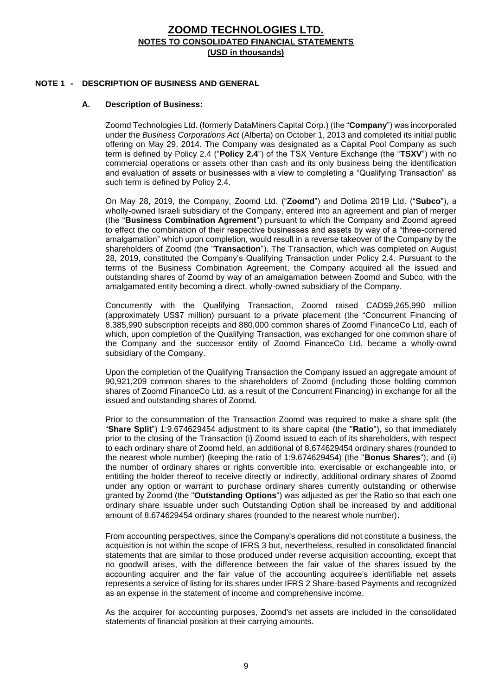#### **NOTE 1 - DESCRIPTION OF BUSINESS AND GENERAL**

#### **A. Description of Business:**

Zoomd Technologies Ltd. (formerly DataMiners Capital Corp.) (the "**Company**") was incorporated under the *Business Corporations Act* (Alberta) on October 1, 2013 and completed its initial public offering on May 29, 2014. The Company was designated as a Capital Pool Company as such term is defined by Policy 2.4 ("**Policy 2.4**") of the TSX Venture Exchange (the "**TSXV**") with no commercial operations or assets other than cash and its only business being the identification and evaluation of assets or businesses with a view to completing a "Qualifying Transaction" as such term is defined by Policy 2.4.

On May 28, 2019, the Company, Zoomd Ltd. ("**Zoomd**") and Dotima 2019 Ltd. ("**Subco**"), a wholly-owned Israeli subsidiary of the Company, entered into an agreement and plan of merger (the "**Business Combination Agrement**") pursuant to which the Company and Zoomd agreed to effect the combination of their respective businesses and assets by way of a "three-cornered amalgamation" which upon completion, would result in a reverse takeover of the Company by the shareholders of Zoomd (the "**Transaction**"). The Transaction, which was completed on August 28, 2019, constituted the Company's Qualifying Transaction under Policy 2.4. Pursuant to the terms of the Business Combination Agreement, the Company acquired all the issued and outstanding shares of Zoomd by way of an amalgamation between Zoomd and Subco, with the amalgamated entity becoming a direct, wholly-owned subsidiary of the Company.

Concurrently with the Qualifying Transaction, Zoomd raised CAD\$9,265,990 million (approximately US\$7 million) pursuant to a private placement (the "Concurrent Financing of 8,385,990 subscription receipts and 880,000 common shares of Zoomd FinanceCo Ltd, each of which, upon completion of the Qualifying Transaction, was exchanged for one common share of the Company and the successor entity of Zoomd FinanceCo Ltd. became a wholly-ownd subsidiary of the Company.

Upon the completion of the Qualifying Transaction the Company issued an aggregate amount of 90,921,209 common shares to the shareholders of Zoomd (including those holding common shares of Zoomd FinanceCo Ltd. as a result of the Concurrent Financing) in exchange for all the issued and outstanding shares of Zoomd.

Prior to the consummation of the Transaction Zoomd was required to make a share split (the "**Share Split**") 1:9.674629454 adjustment to its share capital (the "**Ratio**"), so that immediately prior to the closing of the Transaction (i) Zoomd issued to each of its shareholders, with respect to each ordinary share of Zoomd held, an additional of 8.674629454 ordinary shares (rounded to the nearest whole number) (keeping the ratio of 1:9.674629454) (the "**Bonus Shares**"); and (ii) the number of ordinary shares or rights convertible into, exercisable or exchangeable into, or entitling the holder thereof to receive directly or indirectly, additional ordinary shares of Zoomd under any option or warrant to purchase ordinary shares currently outstanding or otherwise granted by Zoomd (the "**Outstanding Options**") was adjusted as per the Ratio so that each one ordinary share issuable under such Outstanding Option shall be increased by and additional amount of 8.674629454 ordinary shares (rounded to the nearest whole number).

From accounting perspectives, since the Company's operations did not constitute a business, the acquisition is not within the scope of IFRS 3 but, nevertheless, resulted in consolidated financial statements that are similar to those produced under reverse acquisition accounting, except that no goodwill arises, with the difference between the fair value of the shares issued by the accounting acquirer and the fair value of the accounting acquiree's identifiable net assets represents a service of listing for its shares under IFRS 2 Share-based Payments and recognized as an expense in the statement of income and comprehensive income.

As the acquirer for accounting purposes, Zoomd's net assets are included in the consolidated statements of financial position at their carrying amounts.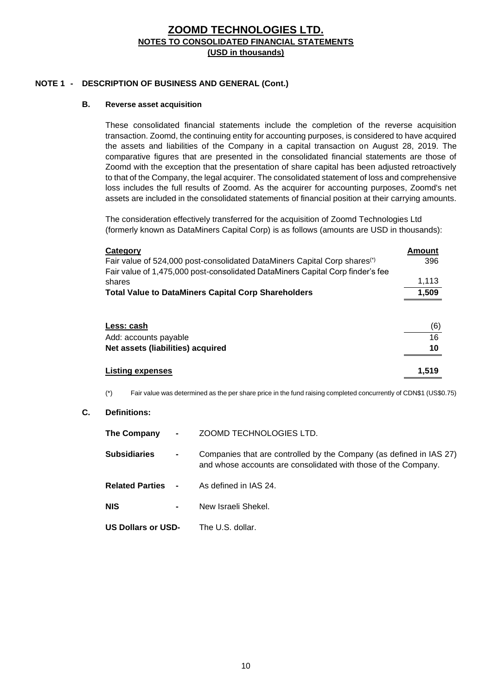## **NOTE 1 - DESCRIPTION OF BUSINESS AND GENERAL (Cont.)**

#### **B. Reverse asset acquisition**

These consolidated financial statements include the completion of the reverse acquisition transaction. Zoomd, the continuing entity for accounting purposes, is considered to have acquired the assets and liabilities of the Company in a capital transaction on August 28, 2019. The comparative figures that are presented in the consolidated financial statements are those of Zoomd with the exception that the presentation of share capital has been adjusted retroactively to that of the Company, the legal acquirer. The consolidated statement of loss and comprehensive loss includes the full results of Zoomd. As the acquirer for accounting purposes, Zoomd's net assets are included in the consolidated statements of financial position at their carrying amounts.

The consideration effectively transferred for the acquisition of Zoomd Technologies Ltd (formerly known as DataMiners Capital Corp) is as follows (amounts are USD in thousands):

| Category                                                                              | Amount |
|---------------------------------------------------------------------------------------|--------|
| Fair value of 524,000 post-consolidated DataMiners Capital Corp shares <sup>(*)</sup> | 396    |
| Fair value of 1,475,000 post-consolidated DataMiners Capital Corp finder's fee        |        |
| shares                                                                                | 1,113  |
| <b>Total Value to DataMiners Capital Corp Shareholders</b>                            | 1,509  |
| Less: cash                                                                            | (6)    |
| Add: accounts payable                                                                 | 16     |
| Net assets (liabilities) acquired                                                     | 10     |
| <b>Listing expenses</b>                                                               | 1,519  |

(\*) Fair value was determined as the per share price in the fund raising completed concurrently of CDN\$1 (US\$0.75)

#### **C. Definitions:**

| The Company              | $\sim 100$ km s $^{-1}$ | ZOOMD TECHNOLOGIES LTD.                                                                                                               |
|--------------------------|-------------------------|---------------------------------------------------------------------------------------------------------------------------------------|
| <b>Subsidiaries</b>      | $\blacksquare$          | Companies that are controlled by the Company (as defined in IAS 27)<br>and whose accounts are consolidated with those of the Company. |
| <b>Related Parties -</b> |                         | As defined in IAS 24.                                                                                                                 |
| <b>NIS</b>               | $\blacksquare$          | New Israeli Shekel.                                                                                                                   |
| US Dollars or USD-       |                         | The U.S. dollar.                                                                                                                      |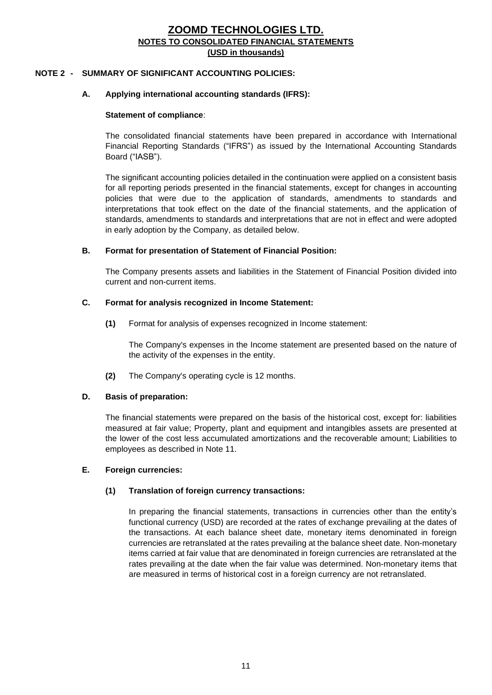#### **NOTE 2 - SUMMARY OF SIGNIFICANT ACCOUNTING POLICIES:**

#### **A. Applying international accounting standards (IFRS):**

#### **Statement of compliance**:

The consolidated financial statements have been prepared in accordance with International Financial Reporting Standards ("IFRS") as issued by the International Accounting Standards Board ("IASB").

The significant accounting policies detailed in the continuation were applied on a consistent basis for all reporting periods presented in the financial statements, except for changes in accounting policies that were due to the application of standards, amendments to standards and interpretations that took effect on the date of the financial statements, and the application of standards, amendments to standards and interpretations that are not in effect and were adopted in early adoption by the Company, as detailed below.

#### **B. Format for presentation of Statement of Financial Position:**

The Company presents assets and liabilities in the Statement of Financial Position divided into current and non-current items.

#### **C. Format for analysis recognized in Income Statement:**

**(1)** Format for analysis of expenses recognized in Income statement:

The Company's expenses in the Income statement are presented based on the nature of the activity of the expenses in the entity.

**(2)** The Company's operating cycle is 12 months.

#### **D. Basis of preparation:**

The financial statements were prepared on the basis of the historical cost, except for: liabilities measured at fair value; Property, plant and equipment and intangibles assets are presented at the lower of the cost less accumulated amortizations and the recoverable amount; Liabilities to employees as described in Note 11.

#### **E. Foreign currencies:**

#### **(1) Translation of foreign currency transactions:**

In preparing the financial statements, transactions in currencies other than the entity's functional currency (USD) are recorded at the rates of exchange prevailing at the dates of the transactions. At each balance sheet date, monetary items denominated in foreign currencies are retranslated at the rates prevailing at the balance sheet date. Non-monetary items carried at fair value that are denominated in foreign currencies are retranslated at the rates prevailing at the date when the fair value was determined. Non-monetary items that are measured in terms of historical cost in a foreign currency are not retranslated.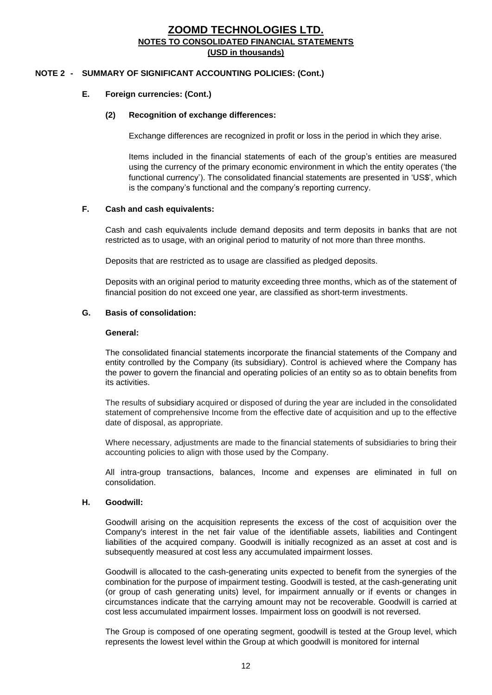#### **NOTE 2 - SUMMARY OF SIGNIFICANT ACCOUNTING POLICIES: (Cont.)**

#### **E. Foreign currencies: (Cont.)**

#### **(2) Recognition of exchange differences:**

Exchange differences are recognized in profit or loss in the period in which they arise.

Items included in the financial statements of each of the group's entities are measured using the currency of the primary economic environment in which the entity operates ('the functional currency'). The consolidated financial statements are presented in 'US\$', which is the company's functional and the company's reporting currency.

#### **F. Cash and cash equivalents:**

Cash and cash equivalents include demand deposits and term deposits in banks that are not restricted as to usage, with an original period to maturity of not more than three months.

Deposits that are restricted as to usage are classified as pledged deposits.

Deposits with an original period to maturity exceeding three months, which as of the statement of financial position do not exceed one year, are classified as short-term investments.

#### **G. Basis of consolidation:**

#### **General:**

The consolidated financial statements incorporate the financial statements of the Company and entity controlled by the Company (its subsidiary). Control is achieved where the Company has the power to govern the financial and operating policies of an entity so as to obtain benefits from its activities.

The results of subsidiary acquired or disposed of during the year are included in the consolidated statement of comprehensive Income from the effective date of acquisition and up to the effective date of disposal, as appropriate.

Where necessary, adjustments are made to the financial statements of subsidiaries to bring their accounting policies to align with those used by the Company.

All intra-group transactions, balances, Income and expenses are eliminated in full on consolidation.

#### **H. Goodwill:**

Goodwill arising on the acquisition represents the excess of the cost of acquisition over the Company's interest in the net fair value of the identifiable assets, liabilities and Contingent liabilities of the acquired company. Goodwill is initially recognized as an asset at cost and is subsequently measured at cost less any accumulated impairment losses.

Goodwill is allocated to the cash-generating units expected to benefit from the synergies of the combination for the purpose of impairment testing. Goodwill is tested, at the cash-generating unit (or group of cash generating units) level, for impairment annually or if events or changes in circumstances indicate that the carrying amount may not be recoverable. Goodwill is carried at cost less accumulated impairment losses. Impairment loss on goodwill is not reversed.

The Group is composed of one operating segment, goodwill is tested at the Group level, which represents the lowest level within the Group at which goodwill is monitored for internal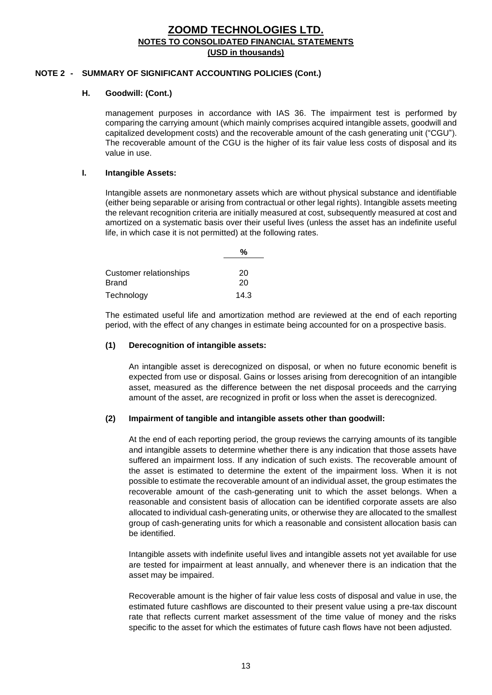#### **NOTE 2 - SUMMARY OF SIGNIFICANT ACCOUNTING POLICIES (Cont.)**

#### **H. Goodwill: (Cont.)**

management purposes in accordance with IAS 36. The impairment test is performed by comparing the carrying amount (which mainly comprises acquired intangible assets, goodwill and capitalized development costs) and the recoverable amount of the cash generating unit ("CGU"). The recoverable amount of the CGU is the higher of its fair value less costs of disposal and its value in use.

#### **I. Intangible Assets:**

Intangible assets are nonmonetary assets which are without physical substance and identifiable (either being separable or arising from contractual or other legal rights). Intangible assets meeting the relevant recognition criteria are initially measured at cost, subsequently measured at cost and amortized on a systematic basis over their useful lives (unless the asset has an indefinite useful life, in which case it is not permitted) at the following rates.

| Customer relationships | 20   |
|------------------------|------|
| Brand                  | 20   |
| Technology             | 14.3 |

The estimated useful life and amortization method are reviewed at the end of each reporting period, with the effect of any changes in estimate being accounted for on a prospective basis.

## **(1) Derecognition of intangible assets:**

An intangible asset is derecognized on disposal, or when no future economic benefit is expected from use or disposal. Gains or losses arising from derecognition of an intangible asset, measured as the difference between the net disposal proceeds and the carrying amount of the asset, are recognized in profit or loss when the asset is derecognized.

#### **(2) Impairment of tangible and intangible assets other than goodwill:**

At the end of each reporting period, the group reviews the carrying amounts of its tangible and intangible assets to determine whether there is any indication that those assets have suffered an impairment loss. If any indication of such exists. The recoverable amount of the asset is estimated to determine the extent of the impairment loss. When it is not possible to estimate the recoverable amount of an individual asset, the group estimates the recoverable amount of the cash-generating unit to which the asset belongs. When a reasonable and consistent basis of allocation can be identified corporate assets are also allocated to individual cash-generating units, or otherwise they are allocated to the smallest group of cash-generating units for which a reasonable and consistent allocation basis can be identified.

Intangible assets with indefinite useful lives and intangible assets not yet available for use are tested for impairment at least annually, and whenever there is an indication that the asset may be impaired.

Recoverable amount is the higher of fair value less costs of disposal and value in use, the estimated future cashflows are discounted to their present value using a pre-tax discount rate that reflects current market assessment of the time value of money and the risks specific to the asset for which the estimates of future cash flows have not been adjusted.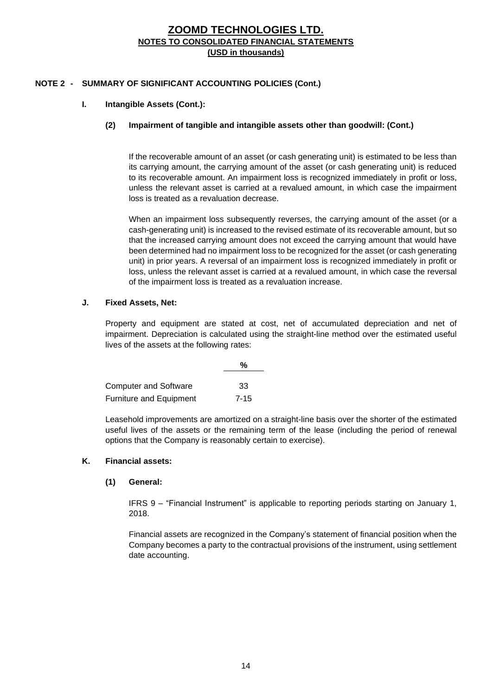## **NOTE 2 - SUMMARY OF SIGNIFICANT ACCOUNTING POLICIES (Cont.)**

## **I. Intangible Assets (Cont.):**

#### **(2) Impairment of tangible and intangible assets other than goodwill: (Cont.)**

If the recoverable amount of an asset (or cash generating unit) is estimated to be less than its carrying amount, the carrying amount of the asset (or cash generating unit) is reduced to its recoverable amount. An impairment loss is recognized immediately in profit or loss, unless the relevant asset is carried at a revalued amount, in which case the impairment loss is treated as a revaluation decrease.

When an impairment loss subsequently reverses, the carrying amount of the asset (or a cash-generating unit) is increased to the revised estimate of its recoverable amount, but so that the increased carrying amount does not exceed the carrying amount that would have been determined had no impairment loss to be recognized for the asset (or cash generating unit) in prior years. A reversal of an impairment loss is recognized immediately in profit or loss, unless the relevant asset is carried at a revalued amount, in which case the reversal of the impairment loss is treated as a revaluation increase.

#### **J. Fixed Assets, Net:**

Property and equipment are stated at cost, net of accumulated depreciation and net of impairment. Depreciation is calculated using the straight-line method over the estimated useful lives of the assets at the following rates:

|                                | %        |
|--------------------------------|----------|
|                                |          |
| <b>Computer and Software</b>   | 33       |
| <b>Furniture and Equipment</b> | $7 - 15$ |

Leasehold improvements are amortized on a straight-line basis over the shorter of the estimated useful lives of the assets or the remaining term of the lease (including the period of renewal options that the Company is reasonably certain to exercise).

#### **K. Financial assets:**

#### **(1) General:**

IFRS 9 – "Financial Instrument" is applicable to reporting periods starting on January 1, 2018.

Financial assets are recognized in the Company's statement of financial position when the Company becomes a party to the contractual provisions of the instrument, using settlement date accounting.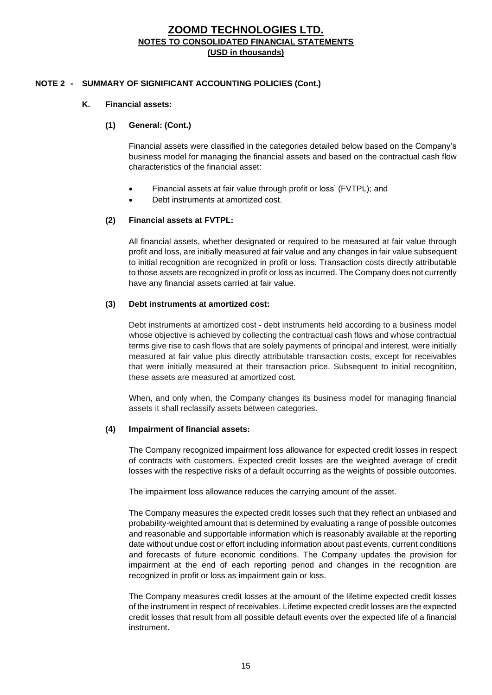#### **NOTE 2 - SUMMARY OF SIGNIFICANT ACCOUNTING POLICIES (Cont.)**

#### **K. Financial assets:**

#### **(1) General: (Cont.)**

Financial assets were classified in the categories detailed below based on the Company's business model for managing the financial assets and based on the contractual cash flow characteristics of the financial asset:

- Financial assets at fair value through profit or loss' (FVTPL); and
- Debt instruments at amortized cost.

#### **(2) Financial assets at FVTPL:**

All financial assets, whether designated or required to be measured at fair value through profit and loss, are initially measured at fair value and any changes in fair value subsequent to initial recognition are recognized in profit or loss. Transaction costs directly attributable to those assets are recognized in profit or loss as incurred. The Company does not currently have any financial assets carried at fair value.

#### **(3) Debt instruments at amortized cost:**

Debt instruments at amortized cost - debt instruments held according to a business model whose objective is achieved by collecting the contractual cash flows and whose contractual terms give rise to cash flows that are solely payments of principal and interest, were initially measured at fair value plus directly attributable transaction costs, except for receivables that were initially measured at their transaction price. Subsequent to initial recognition, these assets are measured at amortized cost.

When, and only when, the Company changes its business model for managing financial assets it shall reclassify assets between categories.

#### **(4) Impairment of financial assets:**

The Company recognized impairment loss allowance for expected credit losses in respect of contracts with customers. Expected credit losses are the weighted average of credit losses with the respective risks of a default occurring as the weights of possible outcomes.

The impairment loss allowance reduces the carrying amount of the asset.

The Company measures the expected credit losses such that they reflect an unbiased and probability-weighted amount that is determined by evaluating a range of possible outcomes and reasonable and supportable information which is reasonably available at the reporting date without undue cost or effort including information about past events, current conditions and forecasts of future economic conditions. The Company updates the provision for impairment at the end of each reporting period and changes in the recognition are recognized in profit or loss as impairment gain or loss.

The Company measures credit losses at the amount of the lifetime expected credit losses of the instrument in respect of receivables. Lifetime expected credit losses are the expected credit losses that result from all possible default events over the expected life of a financial instrument.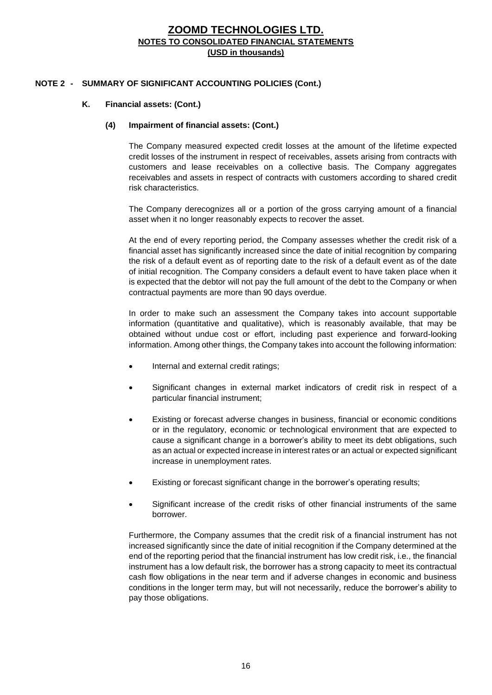#### **NOTE 2 - SUMMARY OF SIGNIFICANT ACCOUNTING POLICIES (Cont.)**

#### **K. Financial assets: (Cont.)**

#### **(4) Impairment of financial assets: (Cont.)**

The Company measured expected credit losses at the amount of the lifetime expected credit losses of the instrument in respect of receivables, assets arising from contracts with customers and lease receivables on a collective basis. The Company aggregates receivables and assets in respect of contracts with customers according to shared credit risk characteristics.

The Company derecognizes all or a portion of the gross carrying amount of a financial asset when it no longer reasonably expects to recover the asset.

At the end of every reporting period, the Company assesses whether the credit risk of a financial asset has significantly increased since the date of initial recognition by comparing the risk of a default event as of reporting date to the risk of a default event as of the date of initial recognition. The Company considers a default event to have taken place when it is expected that the debtor will not pay the full amount of the debt to the Company or when contractual payments are more than 90 days overdue.

In order to make such an assessment the Company takes into account supportable information (quantitative and qualitative), which is reasonably available, that may be obtained without undue cost or effort, including past experience and forward-looking information. Among other things, the Company takes into account the following information:

- Internal and external credit ratings;
- Significant changes in external market indicators of credit risk in respect of a particular financial instrument;
- Existing or forecast adverse changes in business, financial or economic conditions or in the regulatory, economic or technological environment that are expected to cause a significant change in a borrower's ability to meet its debt obligations, such as an actual or expected increase in interest rates or an actual or expected significant increase in unemployment rates.
- Existing or forecast significant change in the borrower's operating results;
- Significant increase of the credit risks of other financial instruments of the same borrower.

Furthermore, the Company assumes that the credit risk of a financial instrument has not increased significantly since the date of initial recognition if the Company determined at the end of the reporting period that the financial instrument has low credit risk, i.e., the financial instrument has a low default risk, the borrower has a strong capacity to meet its contractual cash flow obligations in the near term and if adverse changes in economic and business conditions in the longer term may, but will not necessarily, reduce the borrower's ability to pay those obligations.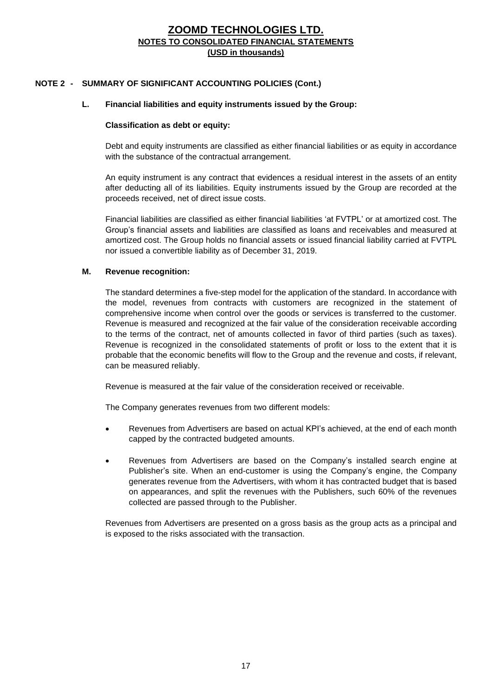## **NOTE 2 - SUMMARY OF SIGNIFICANT ACCOUNTING POLICIES (Cont.)**

#### **L. Financial liabilities and equity instruments issued by the Group:**

#### **Classification as debt or equity:**

Debt and equity instruments are classified as either financial liabilities or as equity in accordance with the substance of the contractual arrangement.

An equity instrument is any contract that evidences a residual interest in the assets of an entity after deducting all of its liabilities. Equity instruments issued by the Group are recorded at the proceeds received, net of direct issue costs.

Financial liabilities are classified as either financial liabilities 'at FVTPL' or at amortized cost. The Group's financial assets and liabilities are classified as loans and receivables and measured at amortized cost. The Group holds no financial assets or issued financial liability carried at FVTPL nor issued a convertible liability as of December 31, 2019.

#### **M. Revenue recognition:**

The standard determines a five-step model for the application of the standard. In accordance with the model, revenues from contracts with customers are recognized in the statement of comprehensive income when control over the goods or services is transferred to the customer. Revenue is measured and recognized at the fair value of the consideration receivable according to the terms of the contract, net of amounts collected in favor of third parties (such as taxes). Revenue is recognized in the consolidated statements of profit or loss to the extent that it is probable that the economic benefits will flow to the Group and the revenue and costs, if relevant, can be measured reliably.

Revenue is measured at the fair value of the consideration received or receivable.

The Company generates revenues from two different models:

- Revenues from Advertisers are based on actual KPI's achieved, at the end of each month capped by the contracted budgeted amounts.
- Revenues from Advertisers are based on the Company's installed search engine at Publisher's site. When an end-customer is using the Company's engine, the Company generates revenue from the Advertisers, with whom it has contracted budget that is based on appearances, and split the revenues with the Publishers, such 60% of the revenues collected are passed through to the Publisher.

Revenues from Advertisers are presented on a gross basis as the group acts as a principal and is exposed to the risks associated with the transaction.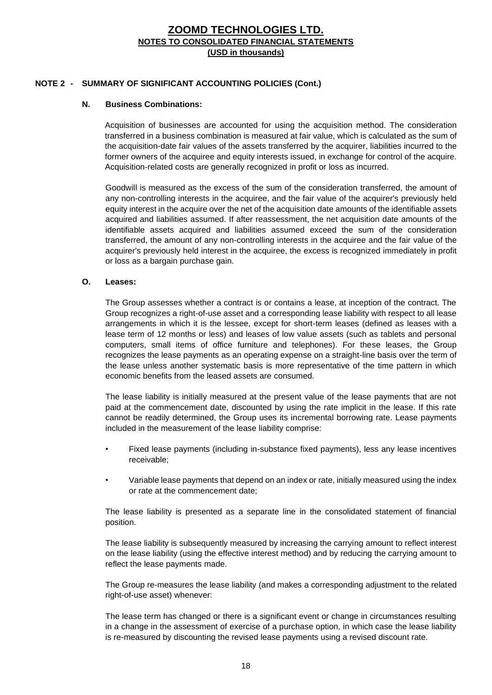## **NOTE 2 - SUMMARY OF SIGNIFICANT ACCOUNTING POLICIES (Cont.)**

#### **N. Business Combinations:**

Acquisition of businesses are accounted for using the acquisition method. The consideration transferred in a business combination is measured at fair value, which is calculated as the sum of the acquisition-date fair values of the assets transferred by the acquirer, liabilities incurred to the former owners of the acquiree and equity interests issued, in exchange for control of the acquire. Acquisition-related costs are generally recognized in profit or loss as incurred.

Goodwill is measured as the excess of the sum of the consideration transferred, the amount of any non-controlling interests in the acquiree, and the fair value of the acquirer's previously held equity interest in the acquire over the net of the acquisition date amounts of the identifiable assets acquired and liabilities assumed. If after reassessment, the net acquisition date amounts of the identifiable assets acquired and liabilities assumed exceed the sum of the consideration transferred, the amount of any non-controlling interests in the acquiree and the fair value of the acquirer's previously held interest in the acquiree, the excess is recognized immediately in profit or loss as a bargain purchase gain.

#### **O. Leases:**

The Group assesses whether a contract is or contains a lease, at inception of the contract. The Group recognizes a right-of-use asset and a corresponding lease liability with respect to all lease arrangements in which it is the lessee, except for short-term leases (defined as leases with a lease term of 12 months or less) and leases of low value assets (such as tablets and personal computers, small items of office furniture and telephones). For these leases, the Group recognizes the lease payments as an operating expense on a straight-line basis over the term of the lease unless another systematic basis is more representative of the time pattern in which economic benefits from the leased assets are consumed.

The lease liability is initially measured at the present value of the lease payments that are not paid at the commencement date, discounted by using the rate implicit in the lease. If this rate cannot be readily determined, the Group uses its incremental borrowing rate. Lease payments included in the measurement of the lease liability comprise:

- Fixed lease payments (including in-substance fixed payments), less any lease incentives receivable;
- Variable lease payments that depend on an index or rate, initially measured using the index or rate at the commencement date;

The lease liability is presented as a separate line in the consolidated statement of financial position.

The lease liability is subsequently measured by increasing the carrying amount to reflect interest on the lease liability (using the effective interest method) and by reducing the carrying amount to reflect the lease payments made.

The Group re-measures the lease liability (and makes a corresponding adjustment to the related right-of-use asset) whenever:

The lease term has changed or there is a significant event or change in circumstances resulting in a change in the assessment of exercise of a purchase option, in which case the lease liability is re-measured by discounting the revised lease payments using a revised discount rate.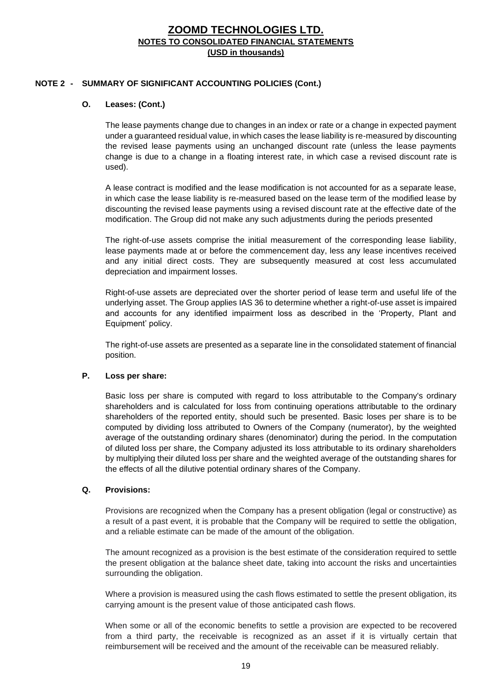#### **NOTE 2 - SUMMARY OF SIGNIFICANT ACCOUNTING POLICIES (Cont.)**

#### **O. Leases: (Cont.)**

The lease payments change due to changes in an index or rate or a change in expected payment under a guaranteed residual value, in which cases the lease liability is re-measured by discounting the revised lease payments using an unchanged discount rate (unless the lease payments change is due to a change in a floating interest rate, in which case a revised discount rate is used).

A lease contract is modified and the lease modification is not accounted for as a separate lease, in which case the lease liability is re-measured based on the lease term of the modified lease by discounting the revised lease payments using a revised discount rate at the effective date of the modification. The Group did not make any such adjustments during the periods presented

The right-of-use assets comprise the initial measurement of the corresponding lease liability, lease payments made at or before the commencement day, less any lease incentives received and any initial direct costs. They are subsequently measured at cost less accumulated depreciation and impairment losses.

Right-of-use assets are depreciated over the shorter period of lease term and useful life of the underlying asset. The Group applies IAS 36 to determine whether a right-of-use asset is impaired and accounts for any identified impairment loss as described in the 'Property, Plant and Equipment' policy.

The right-of-use assets are presented as a separate line in the consolidated statement of financial position.

#### **P. Loss per share:**

Basic loss per share is computed with regard to loss attributable to the Company's ordinary shareholders and is calculated for loss from continuing operations attributable to the ordinary shareholders of the reported entity, should such be presented. Basic loses per share is to be computed by dividing loss attributed to Owners of the Company (numerator), by the weighted average of the outstanding ordinary shares (denominator) during the period. In the computation of diluted loss per share, the Company adjusted its loss attributable to its ordinary shareholders by multiplying their diluted loss per share and the weighted average of the outstanding shares for the effects of all the dilutive potential ordinary shares of the Company.

#### **Q. Provisions:**

Provisions are recognized when the Company has a present obligation (legal or constructive) as a result of a past event, it is probable that the Company will be required to settle the obligation, and a reliable estimate can be made of the amount of the obligation.

The amount recognized as a provision is the best estimate of the consideration required to settle the present obligation at the balance sheet date, taking into account the risks and uncertainties surrounding the obligation.

Where a provision is measured using the cash flows estimated to settle the present obligation, its carrying amount is the present value of those anticipated cash flows.

When some or all of the economic benefits to settle a provision are expected to be recovered from a third party, the receivable is recognized as an asset if it is virtually certain that reimbursement will be received and the amount of the receivable can be measured reliably.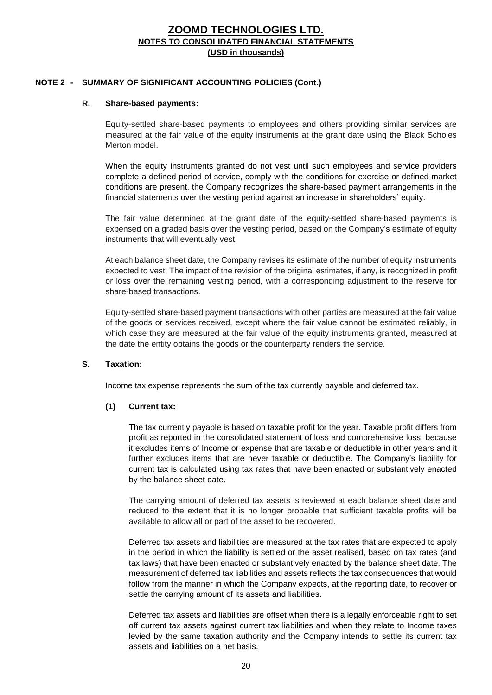#### **NOTE 2 - SUMMARY OF SIGNIFICANT ACCOUNTING POLICIES (Cont.)**

#### **R. Share-based payments:**

Equity-settled share-based payments to employees and others providing similar services are measured at the fair value of the equity instruments at the grant date using the Black Scholes Merton model

When the equity instruments granted do not vest until such employees and service providers complete a defined period of service, comply with the conditions for exercise or defined market conditions are present, the Company recognizes the share-based payment arrangements in the financial statements over the vesting period against an increase in shareholders' equity.

The fair value determined at the grant date of the equity-settled share-based payments is expensed on a graded basis over the vesting period, based on the Company's estimate of equity instruments that will eventually vest.

At each balance sheet date, the Company revises its estimate of the number of equity instruments expected to vest. The impact of the revision of the original estimates, if any, is recognized in profit or loss over the remaining vesting period, with a corresponding adjustment to the reserve for share-based transactions.

Equity-settled share-based payment transactions with other parties are measured at the fair value of the goods or services received, except where the fair value cannot be estimated reliably, in which case they are measured at the fair value of the equity instruments granted, measured at the date the entity obtains the goods or the counterparty renders the service.

#### **S. Taxation:**

Income tax expense represents the sum of the tax currently payable and deferred tax.

#### **(1) Current tax:**

The tax currently payable is based on taxable profit for the year. Taxable profit differs from profit as reported in the consolidated statement of loss and comprehensive loss, because it excludes items of Income or expense that are taxable or deductible in other years and it further excludes items that are never taxable or deductible. The Company's liability for current tax is calculated using tax rates that have been enacted or substantively enacted by the balance sheet date.

The carrying amount of deferred tax assets is reviewed at each balance sheet date and reduced to the extent that it is no longer probable that sufficient taxable profits will be available to allow all or part of the asset to be recovered.

Deferred tax assets and liabilities are measured at the tax rates that are expected to apply in the period in which the liability is settled or the asset realised, based on tax rates (and tax laws) that have been enacted or substantively enacted by the balance sheet date. The measurement of deferred tax liabilities and assets reflects the tax consequences that would follow from the manner in which the Company expects, at the reporting date, to recover or settle the carrying amount of its assets and liabilities.

Deferred tax assets and liabilities are offset when there is a legally enforceable right to set off current tax assets against current tax liabilities and when they relate to Income taxes levied by the same taxation authority and the Company intends to settle its current tax assets and liabilities on a net basis.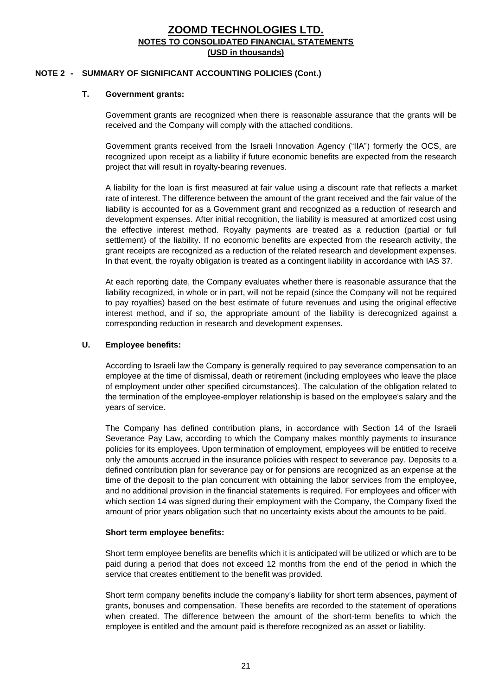#### **NOTE 2 - SUMMARY OF SIGNIFICANT ACCOUNTING POLICIES (Cont.)**

#### **T. Government grants:**

Government grants are recognized when there is reasonable assurance that the grants will be received and the Company will comply with the attached conditions.

Government grants received from the Israeli Innovation Agency ("IIA") formerly the OCS, are recognized upon receipt as a liability if future economic benefits are expected from the research project that will result in royalty-bearing revenues.

A liability for the loan is first measured at fair value using a discount rate that reflects a market rate of interest. The difference between the amount of the grant received and the fair value of the liability is accounted for as a Government grant and recognized as a reduction of research and development expenses. After initial recognition, the liability is measured at amortized cost using the effective interest method. Royalty payments are treated as a reduction (partial or full settlement) of the liability. If no economic benefits are expected from the research activity, the grant receipts are recognized as a reduction of the related research and development expenses. In that event, the royalty obligation is treated as a contingent liability in accordance with IAS 37.

At each reporting date, the Company evaluates whether there is reasonable assurance that the liability recognized, in whole or in part, will not be repaid (since the Company will not be required to pay royalties) based on the best estimate of future revenues and using the original effective interest method, and if so, the appropriate amount of the liability is derecognized against a corresponding reduction in research and development expenses.

#### **U. Employee benefits:**

According to Israeli law the Company is generally required to pay severance compensation to an employee at the time of dismissal, death or retirement (including employees who leave the place of employment under other specified circumstances). The calculation of the obligation related to the termination of the employee-employer relationship is based on the employee's salary and the years of service.

The Company has defined contribution plans, in accordance with Section 14 of the Israeli Severance Pay Law, according to which the Company makes monthly payments to insurance policies for its employees. Upon termination of employment, employees will be entitled to receive only the amounts accrued in the insurance policies with respect to severance pay. Deposits to a defined contribution plan for severance pay or for pensions are recognized as an expense at the time of the deposit to the plan concurrent with obtaining the labor services from the employee, and no additional provision in the financial statements is required. For employees and officer with which section 14 was signed during their employment with the Company, the Company fixed the amount of prior years obligation such that no uncertainty exists about the amounts to be paid.

#### **Short term employee benefits:**

Short term employee benefits are benefits which it is anticipated will be utilized or which are to be paid during a period that does not exceed 12 months from the end of the period in which the service that creates entitlement to the benefit was provided.

Short term company benefits include the company's liability for short term absences, payment of grants, bonuses and compensation. These benefits are recorded to the statement of operations when created. The difference between the amount of the short-term benefits to which the employee is entitled and the amount paid is therefore recognized as an asset or liability.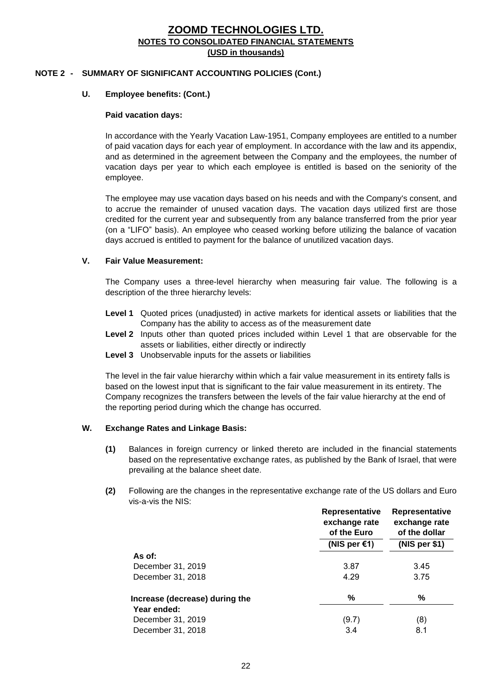#### **NOTE 2 - SUMMARY OF SIGNIFICANT ACCOUNTING POLICIES (Cont.)**

#### **U. Employee benefits: (Cont.)**

#### **Paid vacation days:**

In accordance with the Yearly Vacation Law-1951, Company employees are entitled to a number of paid vacation days for each year of employment. In accordance with the law and its appendix, and as determined in the agreement between the Company and the employees, the number of vacation days per year to which each employee is entitled is based on the seniority of the employee.

The employee may use vacation days based on his needs and with the Company's consent, and to accrue the remainder of unused vacation days. The vacation days utilized first are those credited for the current year and subsequently from any balance transferred from the prior year (on a "LIFO" basis). An employee who ceased working before utilizing the balance of vacation days accrued is entitled to payment for the balance of unutilized vacation days.

#### **V. Fair Value Measurement:**

The Company uses a three-level hierarchy when measuring fair value. The following is a description of the three hierarchy levels:

- **Level 1** Quoted prices (unadjusted) in active markets for identical assets or liabilities that the Company has the ability to access as of the measurement date
- **Level 2** Inputs other than quoted prices included within Level 1 that are observable for the assets or liabilities, either directly or indirectly
- **Level 3** Unobservable inputs for the assets or liabilities

The level in the fair value hierarchy within which a fair value measurement in its entirety falls is based on the lowest input that is significant to the fair value measurement in its entirety. The Company recognizes the transfers between the levels of the fair value hierarchy at the end of the reporting period during which the change has occurred.

#### **W. Exchange Rates and Linkage Basis:**

- **(1)** Balances in foreign currency or linked thereto are included in the financial statements based on the representative exchange rates, as published by the Bank of Israel, that were prevailing at the balance sheet date.
- **(2)** Following are the changes in the representative exchange rate of the US dollars and Euro vis-a-vis the NIS:

|                                | Representative<br>exchange rate<br>of the Euro | Representative<br>exchange rate<br>of the dollar |
|--------------------------------|------------------------------------------------|--------------------------------------------------|
|                                | (NIS per $\epsilon$ 1)                         | (NIS per \$1)                                    |
| As of:                         |                                                |                                                  |
| December 31, 2019              | 3.87                                           | 3.45                                             |
| December 31, 2018              | 4.29                                           | 3.75                                             |
| Increase (decrease) during the | %                                              | ℅                                                |
| Year ended:                    |                                                |                                                  |
| December 31, 2019              | (9.7)                                          | (8)                                              |
| December 31, 2018              | 3.4                                            | 8.1                                              |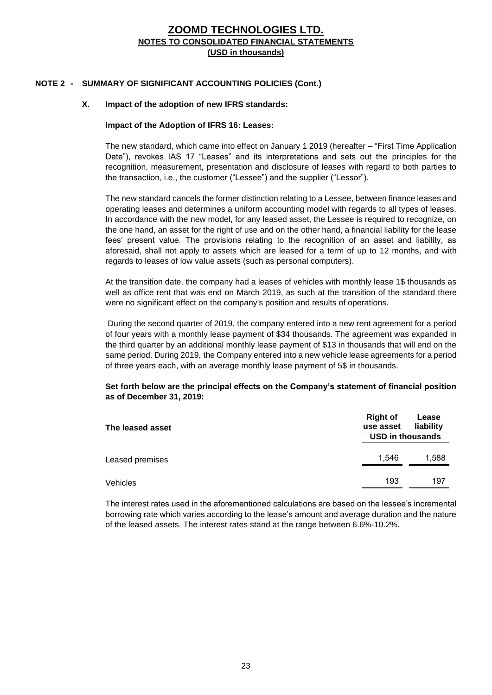### **NOTE 2 - SUMMARY OF SIGNIFICANT ACCOUNTING POLICIES (Cont.)**

#### **X. Impact of the adoption of new IFRS standards:**

#### **Impact of the Adoption of IFRS 16: Leases:**

The new standard, which came into effect on January 1 2019 (hereafter – "First Time Application Date"), revokes IAS 17 "Leases" and its interpretations and sets out the principles for the recognition, measurement, presentation and disclosure of leases with regard to both parties to the transaction, i.e., the customer ("Lessee") and the supplier ("Lessor").

The new standard cancels the former distinction relating to a Lessee, between finance leases and operating leases and determines a uniform accounting model with regards to all types of leases. In accordance with the new model, for any leased asset, the Lessee is required to recognize, on the one hand, an asset for the right of use and on the other hand, a financial liability for the lease fees' present value. The provisions relating to the recognition of an asset and liability, as aforesaid, shall not apply to assets which are leased for a term of up to 12 months, and with regards to leases of low value assets (such as personal computers).

At the transition date, the company had a leases of vehicles with monthly lease 1\$ thousands as well as office rent that was end on March 2019, as such at the transition of the standard there were no significant effect on the company's position and results of operations.

During the second quarter of 2019, the company entered into a new rent agreement for a period of four years with a monthly lease payment of \$34 thousands. The agreement was expanded in the third quarter by an additional monthly lease payment of \$13 in thousands that will end on the same period. During 2019, the Company entered into a new vehicle lease agreements for a period of three years each, with an average monthly lease payment of 5\$ in thousands.

#### **Set forth below are the principal effects on the Company's statement of financial position as of December 31, 2019:**

| The leased asset | <b>Right of</b><br>use asset | Lease<br>liability |
|------------------|------------------------------|--------------------|
|                  | <b>USD in thousands</b>      |                    |
| Leased premises  | 1.546                        | 1,588              |
| Vehicles         | 193                          | 197                |

The interest rates used in the aforementioned calculations are based on the lessee's incremental borrowing rate which varies according to the lease's amount and average duration and the nature of the leased assets. The interest rates stand at the range between 6.6%-10.2%.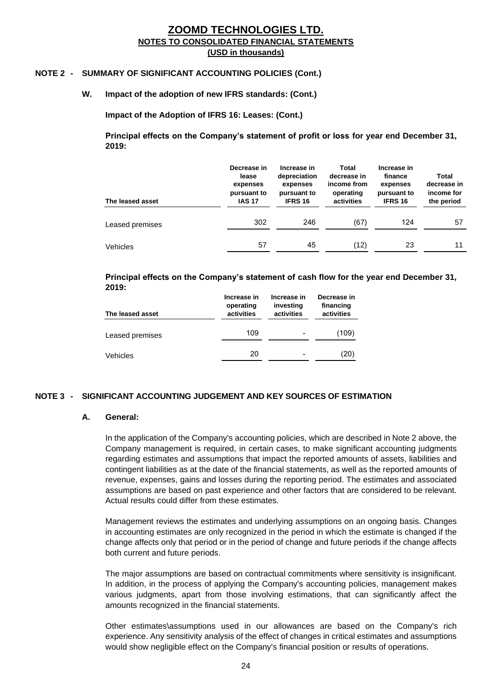#### **NOTE 2 - SUMMARY OF SIGNIFICANT ACCOUNTING POLICIES (Cont.)**

#### **W. Impact of the adoption of new IFRS standards: (Cont.)**

**Impact of the Adoption of IFRS 16: Leases: (Cont.)**

**Principal effects on the Company's statement of profit or loss for year end December 31, 2019:**

| The leased asset | Decrease in<br>lease<br>expenses<br>pursuant to<br><b>IAS 17</b> | Increase in<br>depreciation<br>expenses<br>pursuant to<br><b>IFRS 16</b> | Total<br>decrease in<br>income from<br>operating<br>activities | Increase in<br>finance<br>expenses<br>pursuant to<br><b>IFRS 16</b> | Total<br>decrease in<br>income for<br>the period |
|------------------|------------------------------------------------------------------|--------------------------------------------------------------------------|----------------------------------------------------------------|---------------------------------------------------------------------|--------------------------------------------------|
| Leased premises  | 302                                                              | 246                                                                      | (67)                                                           | 124                                                                 | 57                                               |
| Vehicles         | 57                                                               | 45                                                                       | (12)                                                           | 23                                                                  | 11                                               |

#### **Principal effects on the Company's statement of cash flow for the year end December 31, 2019:**

| The leased asset | Increase in<br>operating<br>activities | Increase in<br>investing<br>activities | Decrease in<br>financing<br>activities |
|------------------|----------------------------------------|----------------------------------------|----------------------------------------|
| Leased premises  | 109                                    |                                        | (109)                                  |
| <b>Vehicles</b>  | 20                                     |                                        | (20)                                   |

#### **NOTE 3 - SIGNIFICANT ACCOUNTING JUDGEMENT AND KEY SOURCES OF ESTIMATION**

#### **A. General:**

In the application of the Company's accounting policies, which are described in Note 2 above, the Company management is required, in certain cases, to make significant accounting judgments regarding estimates and assumptions that impact the reported amounts of assets, liabilities and contingent liabilities as at the date of the financial statements, as well as the reported amounts of revenue, expenses, gains and losses during the reporting period. The estimates and associated assumptions are based on past experience and other factors that are considered to be relevant. Actual results could differ from these estimates.

Management reviews the estimates and underlying assumptions on an ongoing basis. Changes in accounting estimates are only recognized in the period in which the estimate is changed if the change affects only that period or in the period of change and future periods if the change affects both current and future periods.

The major assumptions are based on contractual commitments where sensitivity is insignificant. In addition, in the process of applying the Company's accounting policies, management makes various judgments, apart from those involving estimations, that can significantly affect the amounts recognized in the financial statements.

Other estimates\assumptions used in our allowances are based on the Company's rich experience. Any sensitivity analysis of the effect of changes in critical estimates and assumptions would show negligible effect on the Company's financial position or results of operations.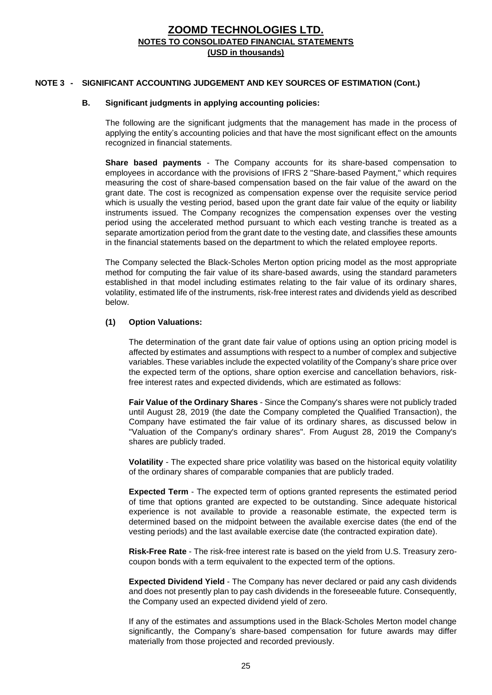#### **NOTE 3 - SIGNIFICANT ACCOUNTING JUDGEMENT AND KEY SOURCES OF ESTIMATION (Cont.)**

#### **B. Significant judgments in applying accounting policies:**

The following are the significant judgments that the management has made in the process of applying the entity's accounting policies and that have the most significant effect on the amounts recognized in financial statements.

**Share based payments** - The Company accounts for its share-based compensation to employees in accordance with the provisions of IFRS 2 "Share-based Payment," which requires measuring the cost of share-based compensation based on the fair value of the award on the grant date. The cost is recognized as compensation expense over the requisite service period which is usually the vesting period, based upon the grant date fair value of the equity or liability instruments issued. The Company recognizes the compensation expenses over the vesting period using the accelerated method pursuant to which each vesting tranche is treated as a separate amortization period from the grant date to the vesting date, and classifies these amounts in the financial statements based on the department to which the related employee reports.

The Company selected the Black-Scholes Merton option pricing model as the most appropriate method for computing the fair value of its share-based awards, using the standard parameters established in that model including estimates relating to the fair value of its ordinary shares, volatility, estimated life of the instruments, risk-free interest rates and dividends yield as described below.

#### **(1) Option Valuations:**

The determination of the grant date fair value of options using an option pricing model is affected by estimates and assumptions with respect to a number of complex and subjective variables. These variables include the expected volatility of the Company's share price over the expected term of the options, share option exercise and cancellation behaviors, riskfree interest rates and expected dividends, which are estimated as follows:

**Fair Value of the Ordinary Shares** - Since the Company's shares were not publicly traded until August 28, 2019 (the date the Company completed the Qualified Transaction), the Company have estimated the fair value of its ordinary shares, as discussed below in "Valuation of the Company's ordinary shares". From August 28, 2019 the Company's shares are publicly traded.

**Volatility** - The expected share price volatility was based on the historical equity volatility of the ordinary shares of comparable companies that are publicly traded.

**Expected Term** - The expected term of options granted represents the estimated period of time that options granted are expected to be outstanding. Since adequate historical experience is not available to provide a reasonable estimate, the expected term is determined based on the midpoint between the available exercise dates (the end of the vesting periods) and the last available exercise date (the contracted expiration date).

**Risk-Free Rate** - The risk-free interest rate is based on the yield from U.S. Treasury zerocoupon bonds with a term equivalent to the expected term of the options.

**Expected Dividend Yield** - The Company has never declared or paid any cash dividends and does not presently plan to pay cash dividends in the foreseeable future. Consequently, the Company used an expected dividend yield of zero.

If any of the estimates and assumptions used in the Black-Scholes Merton model change significantly, the Company's share-based compensation for future awards may differ materially from those projected and recorded previously.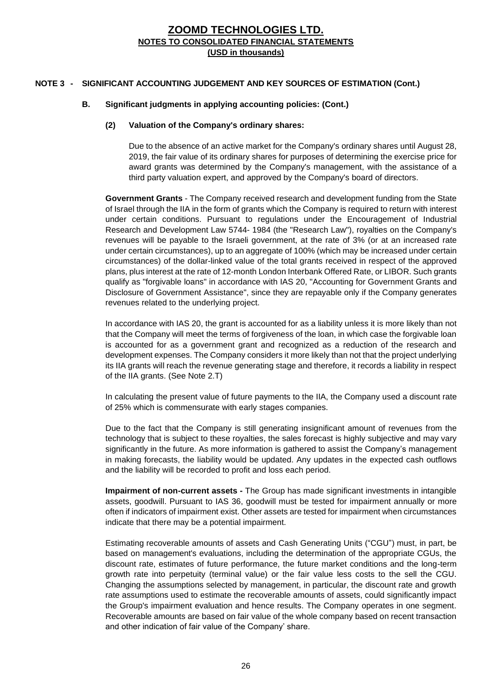## **NOTE 3 - SIGNIFICANT ACCOUNTING JUDGEMENT AND KEY SOURCES OF ESTIMATION (Cont.)**

#### **B. Significant judgments in applying accounting policies: (Cont.)**

#### **(2) Valuation of the Company's ordinary shares:**

Due to the absence of an active market for the Company's ordinary shares until August 28, 2019, the fair value of its ordinary shares for purposes of determining the exercise price for award grants was determined by the Company's management, with the assistance of a third party valuation expert, and approved by the Company's board of directors.

**Government Grants** - The Company received research and development funding from the State of Israel through the IIA in the form of grants which the Company is required to return with interest under certain conditions. Pursuant to regulations under the Encouragement of Industrial Research and Development Law 5744- 1984 (the "Research Law"), royalties on the Company's revenues will be payable to the Israeli government, at the rate of 3% (or at an increased rate under certain circumstances), up to an aggregate of 100% (which may be increased under certain circumstances) of the dollar-linked value of the total grants received in respect of the approved plans, plus interest at the rate of 12-month London Interbank Offered Rate, or LIBOR. Such grants qualify as "forgivable loans" in accordance with IAS 20, "Accounting for Government Grants and Disclosure of Government Assistance", since they are repayable only if the Company generates revenues related to the underlying project.

In accordance with IAS 20, the grant is accounted for as a liability unless it is more likely than not that the Company will meet the terms of forgiveness of the loan, in which case the forgivable loan is accounted for as a government grant and recognized as a reduction of the research and development expenses. The Company considers it more likely than not that the project underlying its IIA grants will reach the revenue generating stage and therefore, it records a liability in respect of the IIA grants. (See Note 2.T)

In calculating the present value of future payments to the IIA, the Company used a discount rate of 25% which is commensurate with early stages companies.

Due to the fact that the Company is still generating insignificant amount of revenues from the technology that is subject to these royalties, the sales forecast is highly subjective and may vary significantly in the future. As more information is gathered to assist the Company's management in making forecasts, the liability would be updated. Any updates in the expected cash outflows and the liability will be recorded to profit and loss each period.

**Impairment of non-current assets -** The Group has made significant investments in intangible assets, goodwill. Pursuant to IAS 36, goodwill must be tested for impairment annually or more often if indicators of impairment exist. Other assets are tested for impairment when circumstances indicate that there may be a potential impairment.

Estimating recoverable amounts of assets and Cash Generating Units ("CGU") must, in part, be based on management's evaluations, including the determination of the appropriate CGUs, the discount rate, estimates of future performance, the future market conditions and the long-term growth rate into perpetuity (terminal value) or the fair value less costs to the sell the CGU. Changing the assumptions selected by management, in particular, the discount rate and growth rate assumptions used to estimate the recoverable amounts of assets, could significantly impact the Group's impairment evaluation and hence results. The Company operates in one segment. Recoverable amounts are based on fair value of the whole company based on recent transaction and other indication of fair value of the Company' share.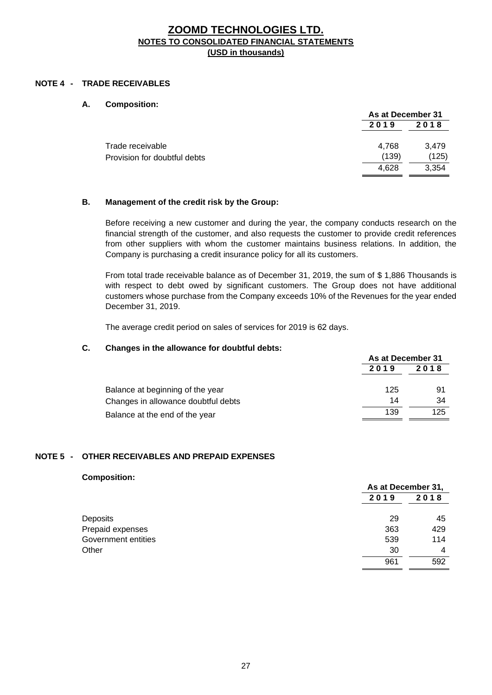#### **NOTE 4 - TRADE RECEIVABLES**

#### **A. Composition:**

| As at December 31 |       |
|-------------------|-------|
| 2019              | 2018  |
| 4.768             | 3.479 |
| (139)             | (125) |
| 4.628             | 3.354 |
|                   |       |

#### **B. Management of the credit risk by the Group:**

Before receiving a new customer and during the year, the company conducts research on the financial strength of the customer, and also requests the customer to provide credit references from other suppliers with whom the customer maintains business relations. In addition, the Company is purchasing a credit insurance policy for all its customers.

From total trade receivable balance as of December 31, 2019, the sum of \$ 1,886 Thousands is with respect to debt owed by significant customers. The Group does not have additional customers whose purchase from the Company exceeds 10% of the Revenues for the year ended December 31, 2019.

The average credit period on sales of services for 2019 is 62 days.

#### **C. Changes in the allowance for doubtful debts:**

|                                     | As at December 31 |      |
|-------------------------------------|-------------------|------|
|                                     | 2019              | 2018 |
| Balance at beginning of the year    | 125               | 91   |
| Changes in allowance doubtful debts | 14                | 34   |
| Balance at the end of the year      | 139               | 125  |

#### **NOTE 5 - OTHER RECEIVABLES AND PREPAID EXPENSES**

#### **Composition:**

|                     |      | As at December 31, |  |
|---------------------|------|--------------------|--|
|                     | 2019 | 2018               |  |
| Deposits            | 29   | 45                 |  |
| Prepaid expenses    | 363  | 429                |  |
| Government entities | 539  | 114                |  |
| Other               | 30   | 4                  |  |
|                     | 961  | 592                |  |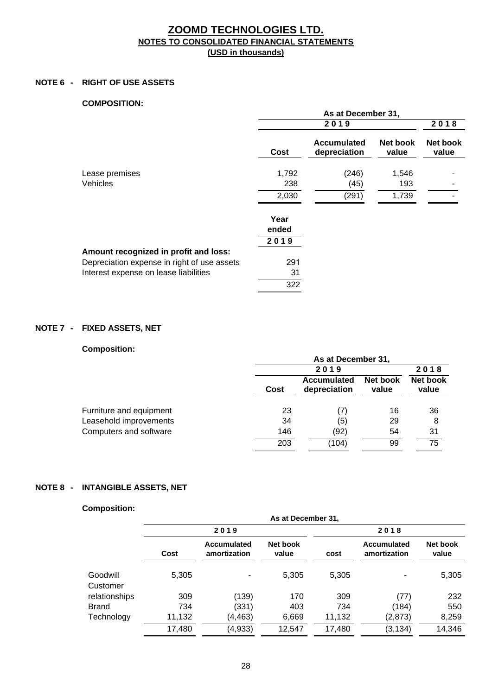#### **NOTE 6 - RIGHT OF USE ASSETS**

#### **COMPOSITION:**

|                                             |               | As at December 31,                 |                   |                   |
|---------------------------------------------|---------------|------------------------------------|-------------------|-------------------|
|                                             |               | 2019                               |                   | 2018              |
|                                             | Cost          | <b>Accumulated</b><br>depreciation | Net book<br>value | Net book<br>value |
| Lease premises                              | 1,792         | (246)                              | 1,546             |                   |
| Vehicles                                    | 238           | (45)                               | 193               |                   |
|                                             | 2,030         | (291)                              | 1,739             |                   |
|                                             | Year<br>ended |                                    |                   |                   |
|                                             | 2019          |                                    |                   |                   |
| Amount recognized in profit and loss:       |               |                                    |                   |                   |
| Depreciation expense in right of use assets | 291           |                                    |                   |                   |
| Interest expense on lease liabilities       | 31            |                                    |                   |                   |
|                                             | 322           |                                    |                   |                   |

## **NOTE 7 - FIXED ASSETS, NET**

## **Composition:**

| <u>,,,,,,,,,,,,,,,,</u> |      | As at December 31,          |                   |                   |
|-------------------------|------|-----------------------------|-------------------|-------------------|
|                         |      | 2019                        |                   | 2018              |
|                         | Cost | Accumulated<br>depreciation | Net book<br>value | Net book<br>value |
| Furniture and equipment | 23   | 17                          | 16                | 36                |
| Leasehold improvements  | 34   | (5)                         | 29                | 8                 |
| Computers and software  | 146  | (92)                        | 54                | 31                |
|                         | 203  | (104)                       | 99                | 75                |

## **NOTE 8 - INTANGIBLE ASSETS, NET**

#### **Composition:**

| <u></u>              | As at December 31, |                             |                   |        |                                    |                   |
|----------------------|--------------------|-----------------------------|-------------------|--------|------------------------------------|-------------------|
|                      | 2019               |                             |                   |        | 2018                               |                   |
|                      | Cost               | Accumulated<br>amortization | Net book<br>value | cost   | <b>Accumulated</b><br>amortization | Net book<br>value |
| Goodwill<br>Customer | 5,305              |                             | 5,305             | 5,305  |                                    | 5,305             |
| relationships        | 309                | (139)                       | 170               | 309    | (77)                               | 232               |
| <b>Brand</b>         | 734                | (331)                       | 403               | 734    | (184)                              | 550               |
| Technology           | 11,132             | (4,463)                     | 6,669             | 11,132 | (2, 873)                           | 8,259             |
|                      | 17,480             | (4,933)                     | 12,547            | 17,480 | (3, 134)                           | 14,346            |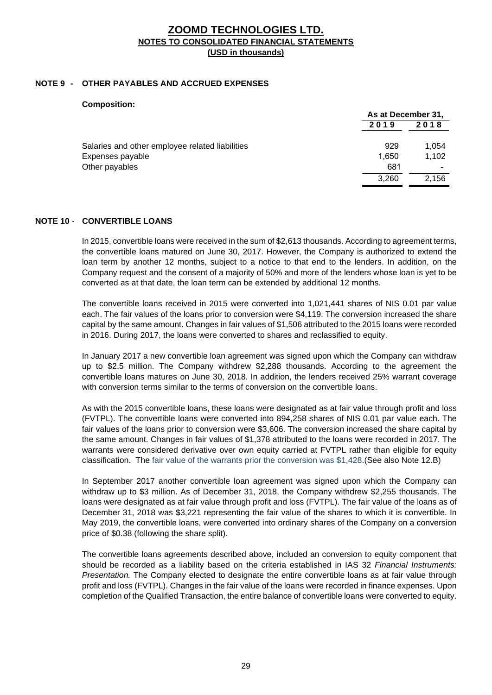#### **NOTE 9 - OTHER PAYABLES AND ACCRUED EXPENSES**

| <b>UUIIINUSILIUII.</b>                          | As at December 31, |       |
|-------------------------------------------------|--------------------|-------|
|                                                 | 2019               | 2018  |
| Salaries and other employee related liabilities | 929                | 1.054 |
| Expenses payable                                | 1.650              | 1,102 |
| Other payables                                  | 681                |       |
|                                                 | 3.260              | 2.156 |

#### **NOTE 10** - **CONVERTIBLE LOANS**

**Composition:**

In 2015, convertible loans were received in the sum of \$2,613 thousands. According to agreement terms, the convertible loans matured on June 30, 2017. However, the Company is authorized to extend the loan term by another 12 months, subject to a notice to that end to the lenders. In addition, on the Company request and the consent of a majority of 50% and more of the lenders whose loan is yet to be converted as at that date, the loan term can be extended by additional 12 months.

The convertible loans received in 2015 were converted into 1,021,441 shares of NIS 0.01 par value each. The fair values of the loans prior to conversion were \$4,119. The conversion increased the share capital by the same amount. Changes in fair values of \$1,506 attributed to the 2015 loans were recorded in 2016. During 2017, the loans were converted to shares and reclassified to equity.

In January 2017 a new convertible loan agreement was signed upon which the Company can withdraw up to \$2.5 million. The Company withdrew \$2,288 thousands. According to the agreement the convertible loans matures on June 30, 2018. In addition, the lenders received 25% warrant coverage with conversion terms similar to the terms of conversion on the convertible loans.

As with the 2015 convertible loans, these loans were designated as at fair value through profit and loss (FVTPL). The convertible loans were converted into 894,258 shares of NIS 0.01 par value each. The fair values of the loans prior to conversion were \$3,606. The conversion increased the share capital by the same amount. Changes in fair values of \$1,378 attributed to the loans were recorded in 2017. The warrants were considered derivative over own equity carried at FVTPL rather than eligible for equity classification. The fair value of the warrants prior the conversion was \$1,428.(See also Note 12.B)

In September 2017 another convertible loan agreement was signed upon which the Company can withdraw up to \$3 million. As of December 31, 2018, the Company withdrew \$2,255 thousands. The loans were designated as at fair value through profit and loss (FVTPL). The fair value of the loans as of December 31, 2018 was \$3,221 representing the fair value of the shares to which it is convertible. In May 2019, the convertible loans, were converted into ordinary shares of the Company on a conversion price of \$0.38 (following the share split).

The convertible loans agreements described above, included an conversion to equity component that should be recorded as a liability based on the criteria established in IAS 32 *Financial Instruments: Presentation.* The Company elected to designate the entire convertible loans as at fair value through profit and loss (FVTPL). Changes in the fair value of the loans were recorded in finance expenses. Upon completion of the Qualified Transaction, the entire balance of convertible loans were converted to equity.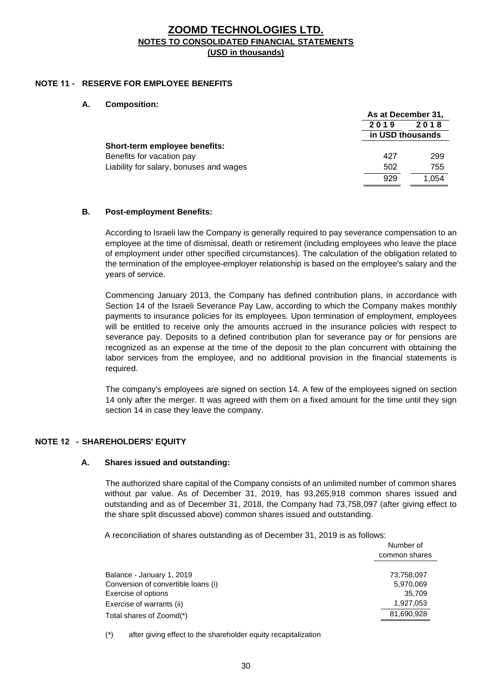## **NOTE 11 - RESERVE FOR EMPLOYEE BENEFITS**

#### **A. Composition:**

|                                         | As at December 31,               |       |
|-----------------------------------------|----------------------------------|-------|
|                                         | 2019<br>2018<br>in USD thousands |       |
|                                         |                                  |       |
| Short-term employee benefits:           |                                  |       |
| Benefits for vacation pay               | 427                              | 299   |
| Liability for salary, bonuses and wages | 502                              | 755   |
|                                         | 929                              | 1.054 |

#### **B. Post-employment Benefits:**

According to Israeli law the Company is generally required to pay severance compensation to an employee at the time of dismissal, death or retirement (including employees who leave the place of employment under other specified circumstances). The calculation of the obligation related to the termination of the employee-employer relationship is based on the employee's salary and the years of service.

Commencing January 2013, the Company has defined contribution plans, in accordance with Section 14 of the Israeli Severance Pay Law, according to which the Company makes monthly payments to insurance policies for its employees. Upon termination of employment, employees will be entitled to receive only the amounts accrued in the insurance policies with respect to severance pay. Deposits to a defined contribution plan for severance pay or for pensions are recognized as an expense at the time of the deposit to the plan concurrent with obtaining the labor services from the employee, and no additional provision in the financial statements is required.

The company's employees are signed on section 14. A few of the employees signed on section 14 only after the merger. It was agreed with them on a fixed amount for the time until they sign section 14 in case they leave the company.

## **NOTE 12 - SHAREHOLDERS' EQUITY**

## **A. Shares issued and outstanding:**

The authorized share capital of the Company consists of an unlimited number of common shares without par value. As of December 31, 2019, has 93,265,918 common shares issued and outstanding and as of December 31, 2018, the Company had 73,758,097 (after giving effect to the share split discussed above) common shares issued and outstanding.

A reconciliation of shares outstanding as of December 31, 2019 is as follows:

|                                     | Number of<br>common shares |
|-------------------------------------|----------------------------|
| Balance - January 1, 2019           | 73,758,097                 |
| Conversion of convertible loans (i) | 5,970,069                  |
| Exercise of options                 | 35.709                     |
| Exercise of warrants (ii)           | 1,927,053                  |
| Total shares of Zoomd(*)            | 81,690,928                 |
|                                     |                            |

(\*) after giving effect to the shareholder equity recapitalization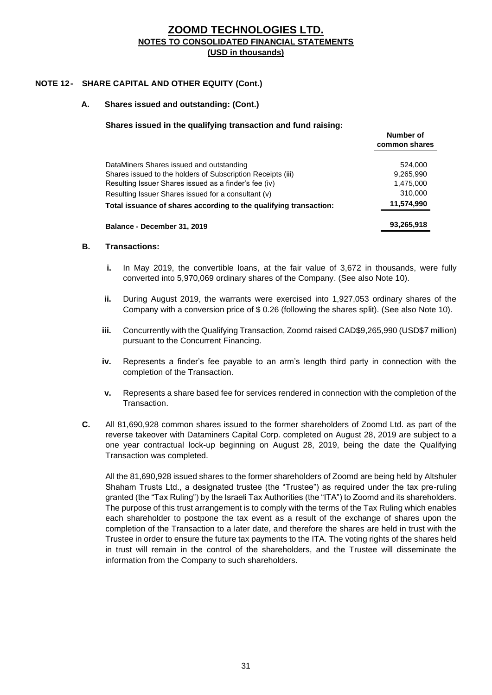## **NOTE 12- SHARE CAPITAL AND OTHER EQUITY (Cont.)**

#### **A. Shares issued and outstanding: (Cont.)**

#### **Shares issued in the qualifying transaction and fund raising:**

|                                                                   | numper of<br>common shares |
|-------------------------------------------------------------------|----------------------------|
| DataMiners Shares issued and outstanding                          | 524.000                    |
| Shares issued to the holders of Subscription Receipts (iii)       | 9,265,990                  |
| Resulting Issuer Shares issued as a finder's fee (iv)             | 1,475,000                  |
| Resulting Issuer Shares issued for a consultant (v)               | 310,000                    |
| Total issuance of shares according to the qualifying transaction: | 11,574,990                 |
| Balance - December 31, 2019                                       | 93,265,918                 |

**Number of** 

#### **B. Transactions:**

- **i.** In May 2019, the convertible loans, at the fair value of 3,672 in thousands, were fully converted into 5,970,069 ordinary shares of the Company. (See also Note 10).
- **ii.** During August 2019, the warrants were exercised into 1,927,053 ordinary shares of the Company with a conversion price of \$ 0.26 (following the shares split). (See also Note 10).
- **iii.** Concurrently with the Qualifying Transaction, Zoomd raised CAD\$9,265,990 (USD\$7 million) pursuant to the Concurrent Financing.
- **iv.** Represents a finder's fee payable to an arm's length third party in connection with the completion of the Transaction.
- **v.** Represents a share based fee for services rendered in connection with the completion of the Transaction.
- **C.** All 81,690,928 common shares issued to the former shareholders of Zoomd Ltd. as part of the reverse takeover with Dataminers Capital Corp. completed on August 28, 2019 are subject to a one year contractual lock-up beginning on August 28, 2019, being the date the Qualifying Transaction was completed.

All the 81,690,928 issued shares to the former shareholders of Zoomd are being held by Altshuler Shaham Trusts Ltd., a designated trustee (the "Trustee") as required under the tax pre-ruling granted (the "Tax Ruling") by the Israeli Tax Authorities (the "ITA") to Zoomd and its shareholders. The purpose of this trust arrangement is to comply with the terms of the Tax Ruling which enables each shareholder to postpone the tax event as a result of the exchange of shares upon the completion of the Transaction to a later date, and therefore the shares are held in trust with the Trustee in order to ensure the future tax payments to the ITA. The voting rights of the shares held in trust will remain in the control of the shareholders, and the Trustee will disseminate the information from the Company to such shareholders.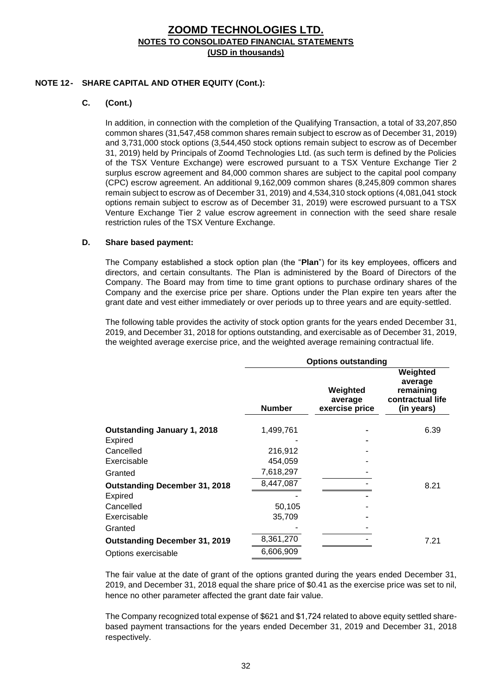#### **NOTE 12- SHARE CAPITAL AND OTHER EQUITY (Cont.):**

## **C. (Cont.)**

In addition, in connection with the completion of the Qualifying Transaction, a total of 33,207,850 common shares (31,547,458 common shares remain subject to escrow as of December 31, 2019) and 3,731,000 stock options (3,544,450 stock options remain subject to escrow as of December 31, 2019) held by Principals of Zoomd Technologies Ltd. (as such term is defined by the Policies of the TSX Venture Exchange) were escrowed pursuant to a TSX Venture Exchange Tier 2 surplus escrow agreement and 84,000 common shares are subject to the capital pool company (CPC) escrow agreement. An additional 9,162,009 common shares (8,245,809 common shares remain subject to escrow as of December 31, 2019) and 4,534,310 stock options (4,081,041 stock options remain subject to escrow as of December 31, 2019) were escrowed pursuant to a TSX Venture Exchange Tier 2 value escrow agreement in connection with the seed share resale restriction rules of the TSX Venture Exchange.

#### **D. Share based payment:**

The Company established a stock option plan (the "**Plan**") for its key employees, officers and directors, and certain consultants. The Plan is administered by the Board of Directors of the Company. The Board may from time to time grant options to purchase ordinary shares of the Company and the exercise price per share. Options under the Plan expire ten years after the grant date and vest either immediately or over periods up to three years and are equity-settled.

The following table provides the activity of stock option grants for the years ended December 31, 2019, and December 31, 2018 for options outstanding, and exercisable as of December 31, 2019, the weighted average exercise price, and the weighted average remaining contractual life.

|                                      |               | <b>Options outstanding</b>            |                                                                    |  |  |
|--------------------------------------|---------------|---------------------------------------|--------------------------------------------------------------------|--|--|
|                                      | <b>Number</b> | Weighted<br>average<br>exercise price | Weighted<br>average<br>remaining<br>contractual life<br>(in years) |  |  |
| <b>Outstanding January 1, 2018</b>   | 1,499,761     |                                       | 6.39                                                               |  |  |
| Expired                              |               |                                       |                                                                    |  |  |
| Cancelled                            | 216,912       |                                       |                                                                    |  |  |
| Exercisable                          | 454,059       |                                       |                                                                    |  |  |
| Granted                              | 7,618,297     |                                       |                                                                    |  |  |
| <b>Outstanding December 31, 2018</b> | 8,447,087     |                                       | 8.21                                                               |  |  |
| <b>Expired</b>                       |               |                                       |                                                                    |  |  |
| Cancelled                            | 50,105        |                                       |                                                                    |  |  |
| Exercisable                          | 35,709        |                                       |                                                                    |  |  |
| Granted                              |               |                                       |                                                                    |  |  |
| <b>Outstanding December 31, 2019</b> | 8,361,270     |                                       | 7.21                                                               |  |  |
| Options exercisable                  | 6,606,909     |                                       |                                                                    |  |  |

The fair value at the date of grant of the options granted during the years ended December 31, 2019, and December 31, 2018 equal the share price of \$0.41 as the exercise price was set to nil, hence no other parameter affected the grant date fair value.

The Company recognized total expense of \$621 and \$1,724 related to above equity settled sharebased payment transactions for the years ended December 31, 2019 and December 31, 2018 respectively.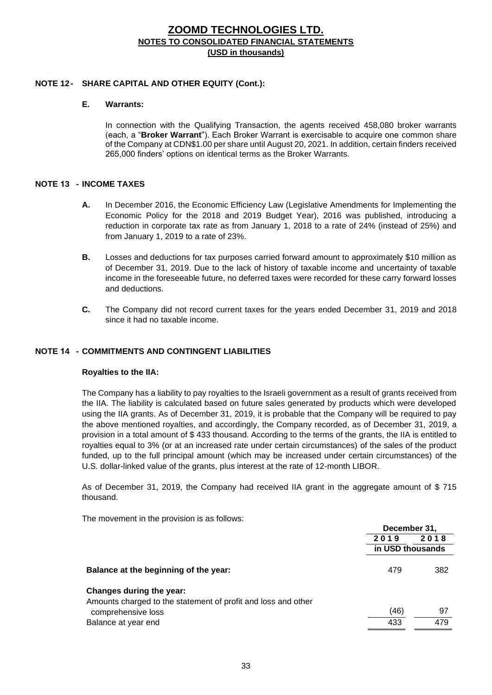#### **NOTE 12- SHARE CAPITAL AND OTHER EQUITY (Cont.):**

### **E. Warrants:**

In connection with the Qualifying Transaction, the agents received 458,080 broker warrants (each, a "**Broker Warrant**"). Each Broker Warrant is exercisable to acquire one common share of the Company at CDN\$1.00 per share until August 20, 2021. In addition, certain finders received 265,000 finders' options on identical terms as the Broker Warrants.

#### **NOTE 13 - INCOME TAXES**

- **A.** In December 2016, the Economic Efficiency Law (Legislative Amendments for Implementing the Economic Policy for the 2018 and 2019 Budget Year), 2016 was published, introducing a reduction in corporate tax rate as from January 1, 2018 to a rate of 24% (instead of 25%) and from January 1, 2019 to a rate of 23%.
- **B.** Losses and deductions for tax purposes carried forward amount to approximately \$10 million as of December 31, 2019. Due to the lack of history of taxable income and uncertainty of taxable income in the foreseeable future, no deferred taxes were recorded for these carry forward losses and deductions.
- **C.** The Company did not record current taxes for the years ended December 31, 2019 and 2018 since it had no taxable income.

#### **NOTE 14 - COMMITMENTS AND CONTINGENT LIABILITIES**

#### **Royalties to the IIA:**

The Company has a liability to pay royalties to the Israeli government as a result of grants received from the IIA. The liability is calculated based on future sales generated by products which were developed using the IIA grants. As of December 31, 2019, it is probable that the Company will be required to pay the above mentioned royalties, and accordingly, the Company recorded, as of December 31, 2019, a provision in a total amount of \$ 433 thousand. According to the terms of the grants, the IIA is entitled to royalties equal to 3% (or at an increased rate under certain circumstances) of the sales of the product funded, up to the full principal amount (which may be increased under certain circumstances) of the U.S. dollar-linked value of the grants, plus interest at the rate of 12-month LIBOR.

As of December 31, 2019, the Company had received IIA grant in the aggregate amount of \$ 715 thousand.

The movement in the provision is as follows:

|                                                               | December 31.     |      |
|---------------------------------------------------------------|------------------|------|
|                                                               | 2019             | 2018 |
|                                                               | in USD thousands |      |
| Balance at the beginning of the year:                         | 479              | 382  |
| Changes during the year:                                      |                  |      |
| Amounts charged to the statement of profit and loss and other |                  |      |
| comprehensive loss                                            | (46)             | 97   |
| Balance at year end                                           | 433              | 479  |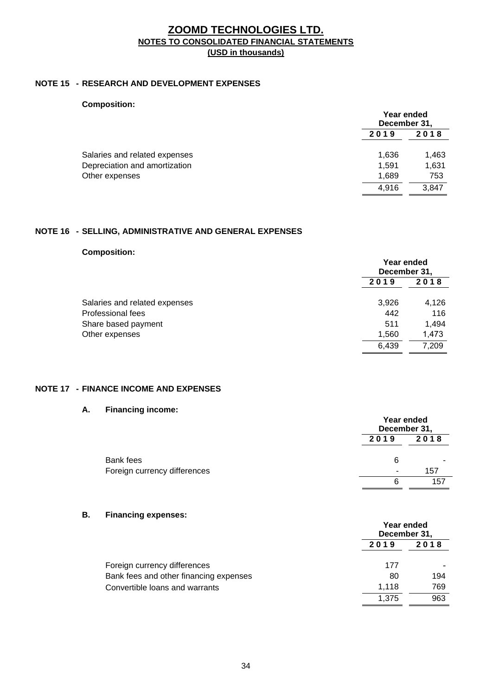#### **NOTE 15 - RESEARCH AND DEVELOPMENT EXPENSES**

| <b>Composition:</b> |  |
|---------------------|--|
|---------------------|--|

|                               |       | Year ended<br>December 31, |  |
|-------------------------------|-------|----------------------------|--|
|                               | 2019  | 2018                       |  |
| Salaries and related expenses | 1,636 | 1,463                      |  |
| Depreciation and amortization | 1.591 | 1,631                      |  |
| Other expenses                | 1.689 | 753                        |  |
|                               | 4.916 | 3.847                      |  |

## **NOTE 16 - SELLING, ADMINISTRATIVE AND GENERAL EXPENSES**

## **Composition:**

|                               | Year ended<br>December 31, |       |
|-------------------------------|----------------------------|-------|
|                               | 2019                       | 2018  |
| Salaries and related expenses | 3,926                      | 4,126 |
| Professional fees             | 442                        | 116   |
| Share based payment           | 511                        | 1,494 |
| Other expenses                | 1,560                      | 1,473 |
|                               | 6,439                      | 7,209 |

#### **NOTE 17 - FINANCE INCOME AND EXPENSES**

#### **A. Financing income:**

|                              |      | Year ended<br>December 31, |  |
|------------------------------|------|----------------------------|--|
|                              | 2019 | 2018                       |  |
| Bank fees                    | 6    |                            |  |
| Foreign currency differences |      | 157                        |  |
|                              |      | 157                        |  |

#### **B. Financing expenses:**

|                                        | Year ended<br>December 31, |      |
|----------------------------------------|----------------------------|------|
|                                        | 2019                       | 2018 |
| Foreign currency differences           | 177                        |      |
| Bank fees and other financing expenses | 80                         | 194  |
| Convertible loans and warrants         | 1.118                      | 769  |
|                                        | 1.375                      | 963  |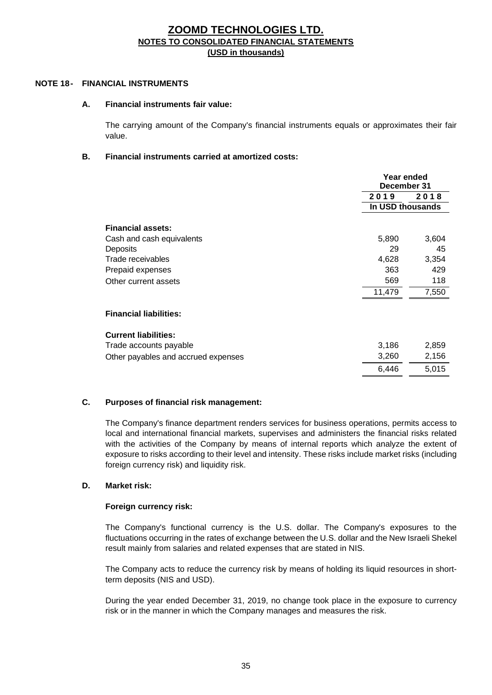#### **NOTE 18- FINANCIAL INSTRUMENTS**

#### **A. Financial instruments fair value:**

The carrying amount of the Company's financial instruments equals or approximates their fair value.

#### **B. Financial instruments carried at amortized costs:**

|                                     |                  | Year ended<br>December 31 |  |
|-------------------------------------|------------------|---------------------------|--|
|                                     | 2019             | 2018                      |  |
|                                     | In USD thousands |                           |  |
| <b>Financial assets:</b>            |                  |                           |  |
| Cash and cash equivalents           | 5,890            | 3,604                     |  |
| Deposits                            | 29               | 45                        |  |
| Trade receivables                   | 4,628            | 3,354                     |  |
| Prepaid expenses                    | 363              | 429                       |  |
| Other current assets                | 569              | 118                       |  |
|                                     | 11,479           | 7,550                     |  |
| <b>Financial liabilities:</b>       |                  |                           |  |
| <b>Current liabilities:</b>         |                  |                           |  |
| Trade accounts payable              | 3,186            | 2,859                     |  |
| Other payables and accrued expenses | 3,260            | 2,156                     |  |
|                                     | 6,446            | 5,015                     |  |

#### **C. Purposes of financial risk management:**

The Company's finance department renders services for business operations, permits access to local and international financial markets, supervises and administers the financial risks related with the activities of the Company by means of internal reports which analyze the extent of exposure to risks according to their level and intensity. These risks include market risks (including foreign currency risk) and liquidity risk.

#### **D. Market risk:**

#### **Foreign currency risk:**

The Company's functional currency is the U.S. dollar. The Company's exposures to the fluctuations occurring in the rates of exchange between the U.S. dollar and the New Israeli Shekel result mainly from salaries and related expenses that are stated in NIS.

The Company acts to reduce the currency risk by means of holding its liquid resources in shortterm deposits (NIS and USD).

During the year ended December 31, 2019, no change took place in the exposure to currency risk or in the manner in which the Company manages and measures the risk.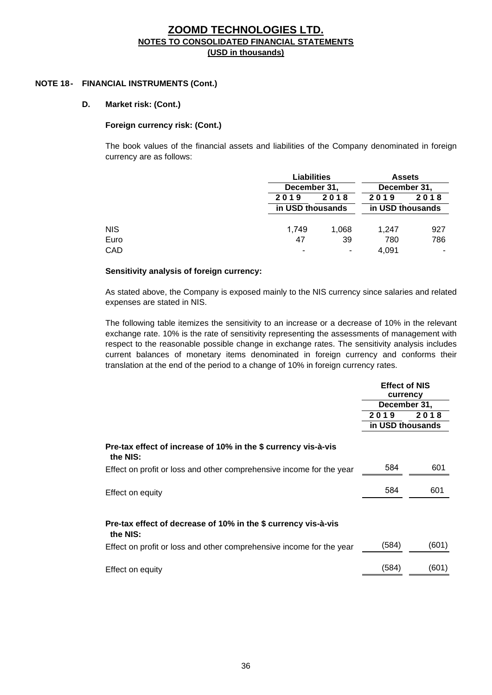#### **NOTE 18- FINANCIAL INSTRUMENTS (Cont.)**

#### **D. Market risk: (Cont.)**

#### **Foreign currency risk: (Cont.)**

The book values of the financial assets and liabilities of the Company denominated in foreign currency are as follows:

|            |       | <b>Liabilities</b><br>December 31, |       | <b>Assets</b><br>December 31, |  |
|------------|-------|------------------------------------|-------|-------------------------------|--|
|            |       |                                    |       |                               |  |
|            | 2019  | 2018                               | 2019  | 2018                          |  |
|            |       | in USD thousands                   |       | in USD thousands              |  |
| <b>NIS</b> | 1,749 | 1.068                              | 1.247 | 927                           |  |
| Euro       | 47    | 39                                 | 780   | 786                           |  |
| CAD        |       | -                                  | 4.091 | ۰                             |  |

#### **Sensitivity analysis of foreign currency:**

As stated above, the Company is exposed mainly to the NIS currency since salaries and related expenses are stated in NIS.

The following table itemizes the sensitivity to an increase or a decrease of 10% in the relevant exchange rate. 10% is the rate of sensitivity representing the assessments of management with respect to the reasonable possible change in exchange rates. The sensitivity analysis includes current balances of monetary items denominated in foreign currency and conforms their translation at the end of the period to a change of 10% in foreign currency rates.

|                                                                            | <b>Effect of NIS</b><br>currency |       |
|----------------------------------------------------------------------------|----------------------------------|-------|
|                                                                            | December 31,                     |       |
|                                                                            | 2019                             | 2018  |
|                                                                            | in USD thousands                 |       |
| Pre-tax effect of increase of 10% in the \$ currency vis-à-vis<br>the NIS: |                                  |       |
| Effect on profit or loss and other comprehensive income for the year       | 584                              | 601   |
| Effect on equity                                                           | 584                              | 601   |
| Pre-tax effect of decrease of 10% in the \$ currency vis-à-vis<br>the NIS: |                                  |       |
| Effect on profit or loss and other comprehensive income for the year       | (584)                            | (601) |
| Effect on equity                                                           | (584)                            | (601) |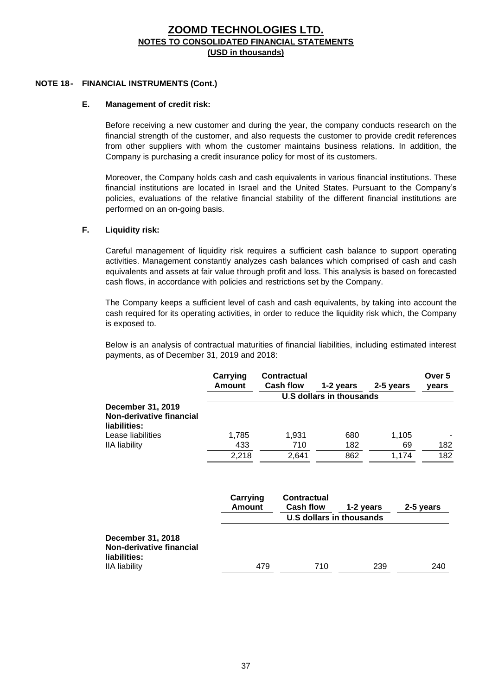#### **NOTE 18- FINANCIAL INSTRUMENTS (Cont.)**

#### **E. Management of credit risk:**

Before receiving a new customer and during the year, the company conducts research on the financial strength of the customer, and also requests the customer to provide credit references from other suppliers with whom the customer maintains business relations. In addition, the Company is purchasing a credit insurance policy for most of its customers.

Moreover, the Company holds cash and cash equivalents in various financial institutions. These financial institutions are located in Israel and the United States. Pursuant to the Company's policies, evaluations of the relative financial stability of the different financial institutions are performed on an on-going basis.

#### **F. Liquidity risk:**

Careful management of liquidity risk requires a sufficient cash balance to support operating activities. Management constantly analyzes cash balances which comprised of cash and cash equivalents and assets at fair value through profit and loss. This analysis is based on forecasted cash flows, in accordance with policies and restrictions set by the Company.

The Company keeps a sufficient level of cash and cash equivalents, by taking into account the cash required for its operating activities, in order to reduce the liquidity risk which, the Company is exposed to.

Below is an analysis of contractual maturities of financial liabilities, including estimated interest payments, as of December 31, 2019 and 2018:

|                                                                      | Carrying<br>Amount        | <b>Contractual</b><br><b>Cash flow</b> |                                              |           | Over 5    |
|----------------------------------------------------------------------|---------------------------|----------------------------------------|----------------------------------------------|-----------|-----------|
|                                                                      |                           |                                        | 1-2 years<br><b>U.S dollars in thousands</b> | 2-5 years | years     |
| December 31, 2019<br>Non-derivative financial<br>liabilities:        |                           |                                        |                                              |           |           |
| Lease liabilities                                                    | 1,785                     | 1,931                                  | 680                                          | 1,105     |           |
| <b>IIA</b> liability                                                 | 433                       | 710                                    | 182                                          | 69        | 182       |
|                                                                      | 2,218                     | 2,641                                  | 862                                          | 1,174     | 182       |
|                                                                      | Carrying<br><b>Amount</b> | Contractual<br><b>Cash flow</b>        | 1-2 years                                    |           | 2-5 years |
|                                                                      |                           |                                        | U.S dollars in thousands                     |           |           |
| <b>December 31, 2018</b><br>Non-derivative financial<br>liabilities: |                           |                                        |                                              |           |           |
| <b>IIA</b> liability                                                 | 479                       |                                        | 710                                          | 239       | 240       |

IIA liability 479 710 239 240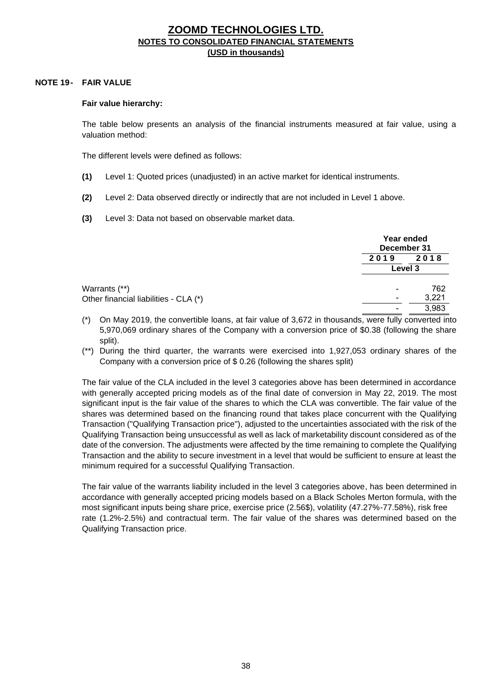#### **NOTE 19- FAIR VALUE**

#### **Fair value hierarchy:**

The table below presents an analysis of the financial instruments measured at fair value, using a valuation method:

The different levels were defined as follows:

- **(1)** Level 1: Quoted prices (unadjusted) in an active market for identical instruments.
- **(2)** Level 2: Data observed directly or indirectly that are not included in Level 1 above.
- **(3)** Level 3: Data not based on observable market data.

|                                       |      | Year ended<br>December 31 |  |
|---------------------------------------|------|---------------------------|--|
|                                       | 2019 | 2018                      |  |
|                                       |      | Level 3                   |  |
| Warrants (**)                         | -    | 762                       |  |
| Other financial liabilities - CLA (*) | -    | 3,221                     |  |
|                                       | -    | 3,983                     |  |

- (\*) On May 2019, the convertible loans, at fair value of 3,672 in thousands, were fully converted into 5,970,069 ordinary shares of the Company with a conversion price of \$0.38 (following the share split).
- (\*\*) During the third quarter, the warrants were exercised into 1,927,053 ordinary shares of the Company with a conversion price of \$ 0.26 (following the shares split)

The fair value of the CLA included in the level 3 categories above has been determined in accordance with generally accepted pricing models as of the final date of conversion in May 22, 2019. The most significant input is the fair value of the shares to which the CLA was convertible. The fair value of the shares was determined based on the financing round that takes place concurrent with the Qualifying Transaction ("Qualifying Transaction price"), adjusted to the uncertainties associated with the risk of the Qualifying Transaction being unsuccessful as well as lack of marketability discount considered as of the date of the conversion. The adjustments were affected by the time remaining to complete the Qualifying Transaction and the ability to secure investment in a level that would be sufficient to ensure at least the minimum required for a successful Qualifying Transaction.

The fair value of the warrants liability included in the level 3 categories above, has been determined in accordance with generally accepted pricing models based on a Black Scholes Merton formula, with the most significant inputs being share price, exercise price (2.56\$), volatility (47.27%-77.58%), risk free rate (1.2%-2.5%) and contractual term. The fair value of the shares was determined based on the Qualifying Transaction price.